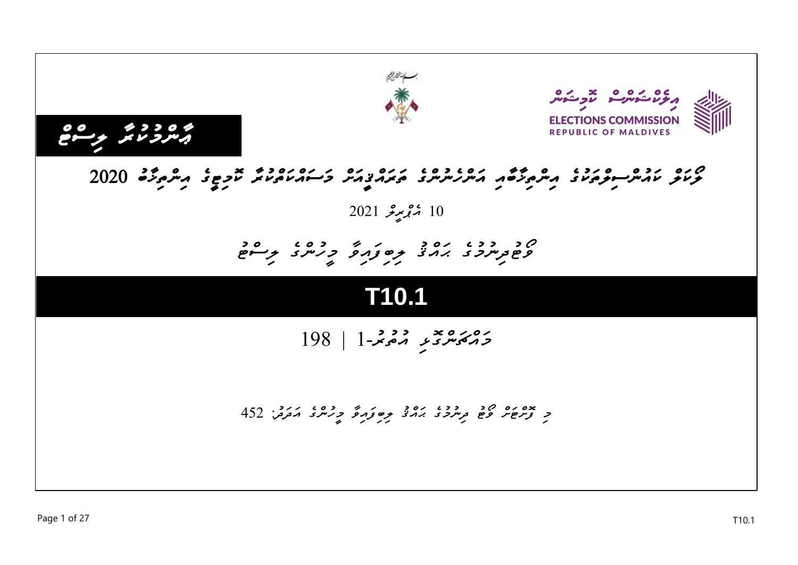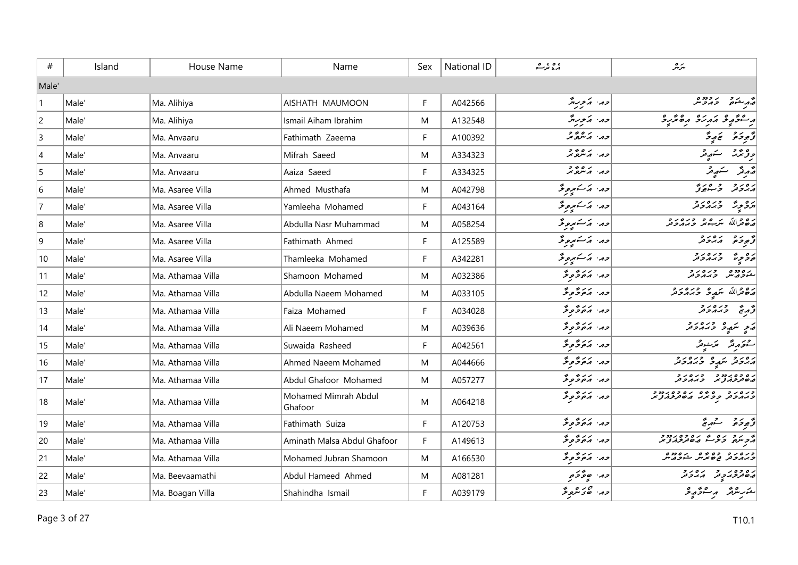| #               | Island | House Name        | Name                            | Sex | National ID | ، ه ، ره<br>مر، مر            | يترىثر                                                                          |
|-----------------|--------|-------------------|---------------------------------|-----|-------------|-------------------------------|---------------------------------------------------------------------------------|
| Male'           |        |                   |                                 |     |             |                               |                                                                                 |
|                 | Male'  | Ma. Alihiya       | <b>AISHATH MAUMOON</b>          | F   | A042566     | ور. د وره                     | أمار منعم واردوده                                                               |
| $ 2\rangle$     | Male'  | Ma. Alihiya       | Ismail Aiham Ibrahim            | M   | A132548     | دړ٠ رنور پژ                   |                                                                                 |
| $\vert$ 3       | Male'  | Ma. Anvaaru       | Fathimath Zaeema                | F   | A100392     | כ <i>חי ה</i> יינפיק          | توجوختم تميز                                                                    |
| $\vert$ 4       | Male'  | Ma. Anvaaru       | Mifrah Saeed                    | M   | A334323     | בו. ה'ייש"ב                   | وومرژ خرور                                                                      |
| $\overline{5}$  | Male'  | Ma. Anvaaru       | Aaiza Saeed                     | F   | A334325     | כ <i>חי ה</i> יית ביב         | ە ئەرنى سىمەتىر                                                                 |
| $6\overline{6}$ | Male'  | Ma. Asaree Villa  | Ahmed Musthafa                  | M   | A042798     | دە ئەسئىيدە ۋ                 | رور و و دره<br>دروند و جوړ                                                      |
| $\overline{7}$  | Male'  | Ma. Asaree Villa  | Yamleeha Mohamed                | F   | A043164     | <br>  <i>دە</i> نەسەمبەرى     | و رە ر د<br><i>د بە</i> پەر<br>أترد بورش                                        |
| 8               | Male'  | Ma. Asaree Villa  | Abdulla Nasr Muhammad           | M   | A058254     | دە بە ئەسكىپ يوق              | مَصْعَرِ اللَّهُ سَرَبْ وَسَامَ وَسَرَمَ مَنْ                                   |
| 9               | Male'  | Ma. Asaree Villa  | Fathimath Ahmed                 | F   | A125589     | دە · م <sup>ە</sup> سەئىرە بۇ | و دو ده دو                                                                      |
| 10              | Male'  | Ma. Asaree Villa  | Thamleeka Mohamed               | F   | A342281     | دە. ئەسكىرە ب <sup>ى</sup>    | و ره ر و<br>تر پر ژنر<br>رء پيءَ په مخ                                          |
| 11              | Male'  | Ma. Athamaa Villa | Shamoon Mohamed                 | M   | A032386     | در مۇۋە <sub>ۋ</sub>          | ر و دوه و رور و .<br>شرورس و برابرو تر                                          |
| 12              | Male'  | Ma. Athamaa Villa | Abdulla Naeem Mohamed           | M   | A033105     | در مۇۋەپى<br>دەر مۇۋەپ        | رەداللە سَمرٍ دىرەرد                                                            |
| 13              | Male'  | Ma. Athamaa Villa | Faiza Mohamed                   | F   | A034028     | ٦٠٠ مۇۋەپ                     | قرمری وره د و                                                                   |
| 14              | Male'  | Ma. Athamaa Villa | Ali Naeem Mohamed               | M   | A039636     | وړ· موځونځ                    | ړی شمړی وره ده.                                                                 |
| 15              | Male'  | Ma. Athamaa Villa | Suwaida Rasheed                 | F   | A042561     | دە. ئەنزۈرگە                  | شقور موسيقو                                                                     |
| 16              | Male'  | Ma. Athamaa Villa | Ahmed Naeem Mohamed             | M   | A044666     | در رزوٌ وژ                    | גפנד תגב בגםנב                                                                  |
| 17              | Male'  | Ma. Athamaa Villa | Abdul Ghafoor Mohamed           | M   | A057277     | در رزوٌ وژ                    | ג ם כם גדב כגם גב<br>השיניכת ניג כגרכינ                                         |
| 18              | Male'  | Ma. Athamaa Villa | Mohamed Mimrah Abdul<br>Ghafoor | M   | A064218     | در رزه و څو څ                 | כנסגב סשם גםפסג <del>מב</del><br>כ <i>ג</i> וגבת <i>בכינג ג</i> םת <i>בור</i> ב |
| 19              | Male'  | Ma. Athamaa Villa | Fathimath Suiza                 | F   | A120753     | در رزوٌ وِ وَ                 | توجوخو سنهديج                                                                   |
| 20              | Male'  | Ma. Athamaa Villa | Aminath Malsa Abdul Ghafoor     | F   | A149613     | [ <i>دە: مۇۋە</i> بۇ          | ه در ده ده ده دود د                                                             |
| 21              | Male'  | Ma. Athamaa Villa | Mohamed Jubran Shamoon          | M   | A166530     | در رزوٌ وِ وَ                 | وره رو وه ده در ده ده<br>دربردن نع ه برس شور پرس                                |
| 22              | Male'  | Ma. Beevaamathi   | Abdul Hameed Ahmed              | M   | A081281     | در په وگړې                    | גפכפיק ב גפניק                                                                  |
| 23              | Male'  | Ma. Boagan Villa  | Shahindha Ismail                | F   | A039179     | ور مى موقى                    | شرىرىدىگە بەسىۋىرى                                                              |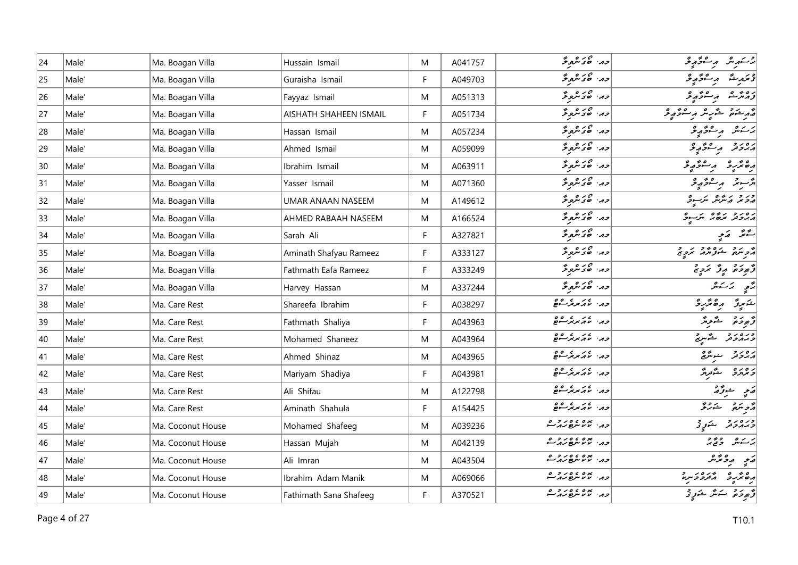| 24           | Male' | Ma. Boagan Villa  | Hussain Ismail         | M           | A041757 | حەر ئەرەپە ئەھمەتىسى ئە                | برسكريش وستتخفي                                 |
|--------------|-------|-------------------|------------------------|-------------|---------|----------------------------------------|-------------------------------------------------|
| 25           | Male' | Ma. Boagan Villa  | Guraisha Ismail        | F           | A049703 | در قدیم دیگر                           | ە سەۋەپە بى<br>تحترم يتح                        |
| 26           | Male' | Ma. Boagan Villa  | Fayyaz Ismail          | M           | A051313 | 7. قاد شهورمح                          | رە ب <sub>ە</sub> م<br>بر شۇ پەيۋ               |
| 27           | Male' | Ma. Boagan Villa  | AISHATH SHAHEEN ISMAIL | F           | A051734 | در گ <sup>ره</sup> دهدگ                | مەر خىقى خىر سىر بەسىر مەنى                     |
| 28           | Male' | Ma. Boagan Villa  | Hassan Ismail          | M           | A057234 | دە. ئەن ئىروگ                          | برسكش وستوكوفر                                  |
| 29           | Male' | Ma. Boagan Villa  | Ahmed Ismail           | M           | A059099 | در همزمونځ                             | رەر دىگەنى                                      |
| 30           | Male' | Ma. Boagan Villa  | Ibrahim Ismail         | M           | A063911 | وربه وهم وعمر                          | رەنزىر رىشۇر                                    |
| 31           | Male' | Ma. Boagan Villa  | Yasser Ismail          | M           | A071360 | ەر، ھىمبى ئىچە ئىچ                     | ە ئەسىر ئەر ئەر ئۇيرى                           |
| 32           | Male' | Ma. Boagan Villa  | UMAR ANAAN NASEEM      | M           | A149612 | حدر صحيح محمد حر                       | ور و بر په کرسود                                |
| 33           | Male' | Ma. Boagan Villa  | AHMED RABAAH NASEEM    | M           | A166524 | ٦٠٥ - ٢٥ مرجو گر                       | ړه د د برخه ترسرو                               |
| 34           | Male' | Ma. Boagan Villa  | Sarah Ali              | F           | A327821 | ٦٠٥ - ٢٥ شهرمً                         | ستانتر الأمو                                    |
| 35           | Male' | Ma. Boagan Villa  | Aminath Shafyau Rameez | F           | A333127 | وړ٠ ځی شوڅ                             | הכתים בניתה תכם                                 |
| 36           | Male' | Ma. Boagan Villa  | Fathmath Eafa Rameez   | F           | A333249 | در گرده پژو <del>گ</del> ر             | أزودكم وزمري                                    |
| 37           | Male' | Ma. Boagan Villa  | Harvey Hassan          | M           | A337244 | وړ· ځوړ خوږ                            | يژ <sub>مو</sub> برسکار                         |
| 38           | Male' | Ma. Care Rest     | Shareefa Ibrahim       | F           | A038297 | <i>ב</i> ת· את האת האפים               | أشورة وهترره                                    |
| 39           | Male' | Ma. Care Rest     | Fathmath Shaliya       | F           | A043963 | <i>כור א</i> וא <sub>אי א</sub> לי קים | ژوده څرنژ                                       |
| 40           | Male' | Ma. Care Rest     | Mohamed Shaneez        | M           | A043964 | בו. יו הבבל בים                        | ورەرو شەرج                                      |
| 41           | Male' | Ma. Care Rest     | Ahmed Shinaz           | M           | A043965 | <i>כە. ئا</i> رىرىگرىش ۋە              | أزرو والمعارض                                   |
| 42           | Male' | Ma. Care Rest     | Mariyam Shadiya        | F           | A043981 |                                        | ستگە تەرىگر<br>تر جمهور و<br>تر <i>جم</i> هور و |
| $ 43\rangle$ | Male' | Ma. Care Rest     | Ali Shifau             | M           | A122798 | בו. יול גל בים                         | ړې شوره.<br>مړ                                  |
| 44           | Male' | Ma. Care Rest     | Aminath Shahula        | $\mathsf F$ | A154425 | בו. יו היי היים                        | وحريرة المشروع                                  |
| 45           | Male' | Ma. Coconut House | Mohamed Shafeeg        | M           | A039236 | בתי עש מפגר פ                          | ورەر دىر.                                       |
| 46           | Male' | Ma. Coconut House | Hassan Mujah           | M           | A042139 | בגי עש שפיק פ                          | يرك مراقبة والمحرج                              |
| 47           | Male' | Ma. Coconut House | Ali Imran              | M           | A043504 | בגי עש שפיק פ                          | ەير مەدىمى                                      |
| 48           | Male' | Ma. Coconut House | Ibrahim Adam Manik     | M           | A069066 |                                        |                                                 |
| 49           | Male' | Ma. Coconut House | Fathimath Sana Shafeeg | F           | A370521 | 222000                                 | ژُهِ دَمْ دَ سَرَ سَرَ دِ ژ                     |
|              |       |                   |                        |             |         |                                        |                                                 |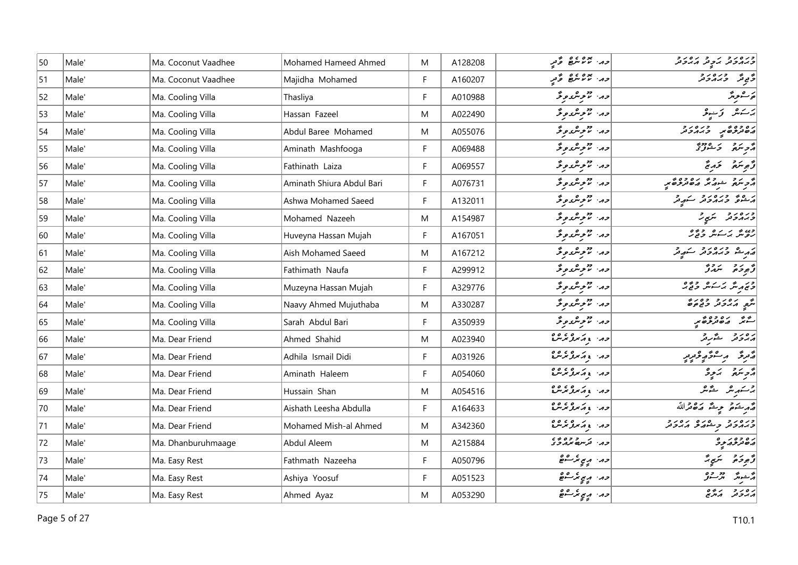| 50 | Male' | Ma. Coconut Vaadhee | Mohamed Hameed Ahmed      | M         | A128208 | כו <i>ר ייט</i> ית של קי <sub>ת</sub>    | ورەرو بەدە بەدە                                                 |
|----|-------|---------------------|---------------------------|-----------|---------|------------------------------------------|-----------------------------------------------------------------|
| 51 | Male' | Ma. Coconut Vaadhee | Majidha Mohamed           | F         | A160207 | در. بده ۵۶۵ وگړ                          | د محمد حده د د                                                  |
| 52 | Male' | Ma. Cooling Villa   | Thasliya                  | F         | A010988 | دە بىي شرىشدە بۇ                         | لئوسشعر يثر                                                     |
| 53 | Male' | Ma. Cooling Villa   | Hassan Fazeel             | M         | A022490 | دە. تۇرىئرىدۇ ئە                         | ىزىتىش كەنبەبى                                                  |
| 54 | Male' | Ma. Cooling Villa   | Abdul Baree Mohamed       | M         | A055076 | ور. "موس <sub>ك</sub> وبو                | נפכפי בנסנב<br>גפתלפית במגבת                                    |
| 55 | Male' | Ma. Cooling Villa   | Aminath Mashfooga         | F         | A069488 | دە. ت <sup>ە</sup> رش <sub>دى</sub> رۇ   | و برد ده دور<br>مرد سره د شور د                                 |
| 56 | Male' | Ma. Cooling Villa   | Fathinath Laiza           | F         | A069557 | دە . ئۇمەھمدە ئە                         | وَّ مِي سَمَعَ حَمْدِ مَجَ                                      |
| 57 | Male' | Ma. Cooling Villa   | Aminath Shiura Abdul Bari | F         | A076731 | دە ئۇمەھمدەپە ئ                          | أزويتهم شهرتمر ماه تروه مر                                      |
| 58 | Male' | Ma. Cooling Villa   | Ashwa Mohamed Saeed       | F         | A132011 | دە. ، ئۇمەشدە بۇ                         | أرده و دره د و مستهينر                                          |
| 59 | Male' | Ma. Cooling Villa   | Mohamed Nazeeh            | M         | A154987 | ور. "موس <sub>ك</sub> وبو                | ورەرو شھرتر                                                     |
| 60 | Male' | Ma. Cooling Villa   | Huveyna Hassan Mujah      | F         | A167051 | دە ئۇمەسمەر ئى                           | د» پر بر پر و ده و                                              |
| 61 | Male' | Ma. Cooling Villa   | Aish Mohamed Saeed        | ${\sf M}$ | A167212 | دە ئۇمەشمەمەمۇ                           | أمر مديد و دره د در در در م                                     |
| 62 | Male' | Ma. Cooling Villa   | Fathimath Naufa           | F         | A299912 | دە. ت <sup>ە</sup> رش <sub>دى</sub> رۇ   | و المحمد المعرفي المستر                                         |
| 63 | Male' | Ma. Cooling Villa   | Muzeyna Hassan Mujah      | F         | A329776 | دە بىقچە شدەپ                            | ویر پر بر کرو وی و                                              |
| 64 | Male' | Ma. Cooling Villa   | Naavy Ahmed Mujuthaba     | M         | A330287 | دە <sup>. م</sup> اترىش <sub>كى</sub> رۇ | شي مرد د ده ده.<br>  شي مرد د د د وه                            |
| 65 | Male' | Ma. Cooling Villa   | Sarah Abdul Bari          | F         | A350939 | دە <sup>. م</sup> ۇم <sup>ى</sup> دىرو ئ | ر د د ده ده ده م                                                |
| 66 | Male' | Ma. Dear Friend     | Ahmed Shahid              | ${\sf M}$ | A023940 | وړ ، ۽ رکيو کرس                          | دەرو ھەرىر                                                      |
| 67 | Male' | Ma. Dear Friend     | Adhila Ismail Didi        | F         | A031926 | در ، ، م <i>رکور تر</i> س                | مەرگە بەر شۇر بۇ بويىيە                                         |
| 68 | Male' | Ma. Dear Friend     | Aminath Haleem            | F         | A054060 | در و زیروی مر                            | أأروبتهم بكرود                                                  |
| 69 | Male' | Ma. Dear Friend     | Hussain Shan              | M         | A054516 | כוזי יו ג'ו בי בים ס                     | بركسر مشر الشرائر                                               |
| 70 | Male' | Ma. Dear Friend     | Aishath Leesha Abdulla    | F         | A164633 | ادر و برو در وه                          | أُصَّمَرِ مُشَمَّعٍ وَحَدَّثَتَهُ مَنْ حَدَّثَتَهُ مِنْ اللَّهُ |
| 71 | Male' | Ma. Dear Friend     | Mohamed Mish-al Ahmed     | M         | A342360 | در و زیروی مر                            | وره رو و عدد و ره رو                                            |
| 72 | Male' | Ma. Dhanburuhmaage  | Abdul Aleem               | ${\sf M}$ | A215884 | وړ٠ ترسه بروه ده<br>وړ٠ ترسه بربرون      | ره وه ر<br>مەمرچە چ                                             |
| 73 | Male' | Ma. Easy Rest       | Fathmath Nazeeha          | F         | A050796 | وړ٠ ر <sub>په ک</sub> رمنځ               | أراوحو مكاني أيتحص                                              |
| 74 | Male' | Ma. Easy Rest       | Ashiya Yoosuf             | F         | A051523 | وړ٠ ر <sub>وم</sub> تر شري               | ا پژے پژ<br>م<br>دد حرو                                         |
| 75 | Male' | Ma. Easy Rest       | Ahmed Ayaz                | ${\sf M}$ | A053290 | בו. גַעֲשִׁים                            | גפגב גבם                                                        |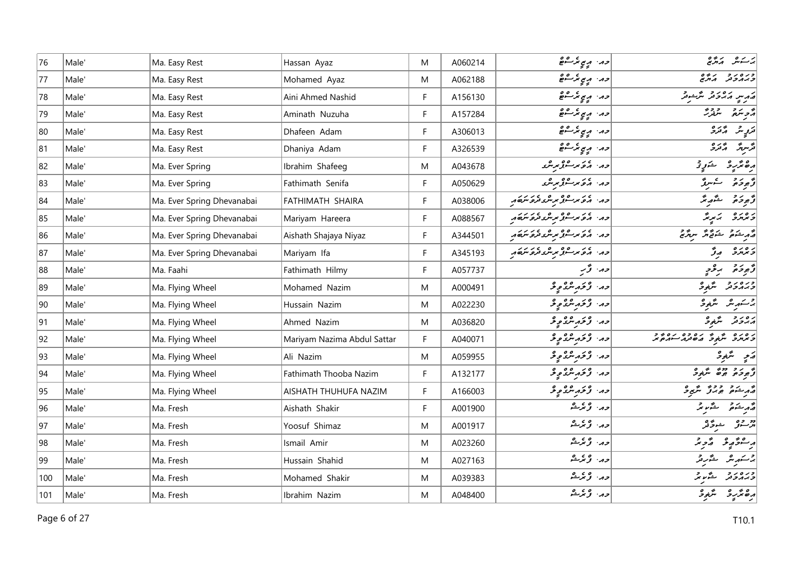| 76           | Male' | Ma. Easy Rest              | Hassan Ayaz                 | M  | A060214 |                                     | پرستمبر پر پر پر چ                                                                                                             |
|--------------|-------|----------------------------|-----------------------------|----|---------|-------------------------------------|--------------------------------------------------------------------------------------------------------------------------------|
| 77           | Male' | Ma. Easy Rest              | Mohamed Ayaz                | M  | A062188 | وړ٠ ر <sub>په ک</sub> رمنځ          | כנסנכ נמס                                                                                                                      |
| 78           | Male' | Ma. Easy Rest              | Aini Ahmed Nashid           | F  | A156130 | درې مربح برگ ه                      | درس دی دی شود.<br>امریس در در ش                                                                                                |
| 79           | Male' | Ma. Easy Rest              | Aminath Nuzuha              | F  | A157284 |                                     | و دوره<br>اړوسي سنر                                                                                                            |
| 80           | Male' | Ma. Easy Rest              | Dhafeen Adam                | F  | A306013 | ادر ریم یک میمار<br>ا               | ترَوٍ شَرِ "دَترو                                                                                                              |
| 81           | Male' | Ma. Easy Rest              | Dhaniya Adam                | F  | A326539 | وړ٠ <sub>په م</sub> وکر کو          | و دره<br>ترسر گرمزد                                                                                                            |
| 82           | Male' | Ma. Ever Spring            | Ibrahim Shafeeg             | M  | A043678 | وړ٠ مؤمر کومرمگر                    | ەھ <i>ئۈر ئىنى قىلى</i> ر قىلىنى ئۆزگەن ئۆزگەن ئۆزگەن ئۆزگەن ئۆزگەن ئۆزگەن كەنتە بۇ ئۆزگەن كەنتە بۇ ئۆزگەن ئۆزگەن ئۆز<br>مەنبە |
| 83           | Male' | Ma. Ever Spring            | Fathimath Senifa            | F  | A050629 | وړ٠ موکر دوکر مرس                   | توجوحو كالمعر                                                                                                                  |
| 84           | Male' | Ma. Ever Spring Dhevanabai | FATHIMATH SHAIRA            | F  | A038006 | در مقر بر مقر بر شرد مقر بر مقدر با | ۇردە شەرىر                                                                                                                     |
| 85           | Male' | Ma. Ever Spring Dhevanabai | Mariyam Hareera             | F  | A088567 | حەر، مۇكىرىسى ئەسىر ئىرەكتىرى ئىدەم | دەرە ئېرىگە                                                                                                                    |
| 86           | Male' | Ma. Ever Spring Dhevanabai | Aishath Shajaya Niyaz       | F. | A344501 | در مقر می سوژ مرسر د د کره شهر      | وكرم شوق الشرق المحرج                                                                                                          |
| 87           | Male' | Ma. Ever Spring Dhevanabai | Mariyam Ifa                 | F  | A345193 | درې مځم د سرو برسر د تره مرغه د     | رەرە مۇ                                                                                                                        |
| 88           | Male' | Ma. Faahi                  | Fathimath Hilmy             | F  | A057737 | ود گرم                              | وٌمودَهُ بروْدِ                                                                                                                |
| 89           | Male' | Ma. Flying Wheel           | Mohamed Nazim               | M  | A000491 | دە . ۋ ئەر ئىگە يەتتى               | ورەرو شجرە                                                                                                                     |
| $ 90\rangle$ | Male' | Ma. Flying Wheel           | Hussain Nazim               | M  | A022230 | دە. ۋىزە ئىگوگ                      | يز سەر شەھ شەمۇق                                                                                                               |
| 91           | Male' | Ma. Flying Wheel           | Ahmed Nazim                 | M  | A036820 | دە.، ئۇ ئەر ئىندە پەيجە             | رەرو شەر                                                                                                                       |
| 92           | Male' | Ma. Flying Wheel           | Mariyam Nazima Abdul Sattar | F  | A040071 | دە. ، ۋ ئەر ئىگەم ئى                | 1010 0201 020101                                                                                                               |
| 93           | Male' | Ma. Flying Wheel           | Ali Nazim                   | M  | A059955 | دە. ، ۋ ئەر ئىگەم ئى                | أرشم يتمنحوه                                                                                                                   |
| 94           | Male' | Ma. Flying Wheel           | Fathimath Thooba Nazim      | F  | A132177 | دە.، ۋېخەر شرىم يېڅ                 | و د د ده شود                                                                                                                   |
| 95           | Male' | Ma. Flying Wheel           | AISHATH THUHUFA NAZIM       | F  | A166003 | دە ۋىخەر شكەم يۇ                    | ړ ده دوه چې                                                                                                                    |
| 96           | Male' | Ma. Fresh                  | Aishath Shakir              | F  | A001900 | ور. و څر شه                         |                                                                                                                                |
| 97           | Male' | Ma. Fresh                  | Yoosuf Shimaz               | M  | A001917 | وړ٠ وگرگ                            | دو وه<br>درسونو سوځ فر                                                                                                         |
| 98           | Male' | Ma. Fresh                  | Ismail Amir                 | M  | A023260 | وړ٠ ژبرگ                            | وڪوڻو ڏويڙ                                                                                                                     |
| 99           | Male' | Ma. Fresh                  | Hussain Shahid              | M  | A027163 | وړ وی ځ                             | بر سکه سرگ استگریز                                                                                                             |
| 100          | Male' | Ma. Fresh                  | Mohamed Shakir              | M  | A039383 | وړ٠ ژبرت                            | ورەرو ئەر                                                                                                                      |
| 101          | Male' | Ma. Fresh                  | Ibrahim Nazim               | M  | A048400 | وړ وی پی                            | رە ئرىر ئىستىمى 3                                                                                                              |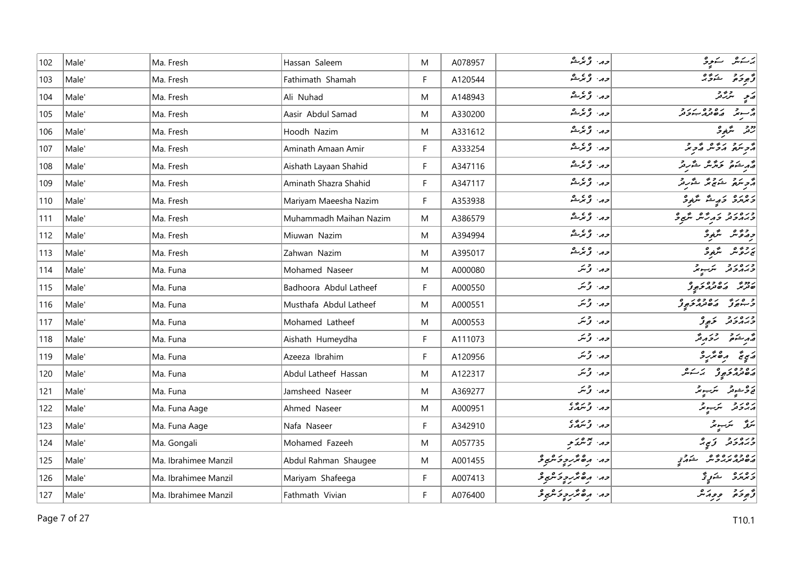| 102 | Male' | Ma. Fresh            | Hassan Saleem          | M           | A078957 | وړ٠ ژبرگ                      | ىرىكى سەرد <sup>ە</sup><br>ئ                                                                                                                                                                                                                                                                                                                                                                                                                                                                                                                                   |
|-----|-------|----------------------|------------------------|-------------|---------|-------------------------------|----------------------------------------------------------------------------------------------------------------------------------------------------------------------------------------------------------------------------------------------------------------------------------------------------------------------------------------------------------------------------------------------------------------------------------------------------------------------------------------------------------------------------------------------------------------|
| 103 | Male' | Ma. Fresh            | Fathimath Shamah       | F           | A120544 | وړ٠ ژبرگ                      | $\frac{1}{25}$                                                                                                                                                                                                                                                                                                                                                                                                                                                                                                                                                 |
| 104 | Male' | Ma. Fresh            | Ali Nuhad              | M           | A148943 | وړ وی ش                       | أەسم سرمان المحدور                                                                                                                                                                                                                                                                                                                                                                                                                                                                                                                                             |
| 105 | Male' | Ma. Fresh            | Aasir Abdul Samad      | M           | A330200 | دړ. یې پره                    | د در ده ده در در<br>مرسور ماه ترم سورتر                                                                                                                                                                                                                                                                                                                                                                                                                                                                                                                        |
| 106 | Male' | Ma. Fresh            | Hoodh Nazim            | M           | A331612 | وړ٠ ژبرگ                      | ددو گروگر                                                                                                                                                                                                                                                                                                                                                                                                                                                                                                                                                      |
| 107 | Male' | Ma. Fresh            | Aminath Amaan Amir     | $\mathsf F$ | A333254 | وړ٠ ژبرگ                      | ה גב גבים בבית                                                                                                                                                                                                                                                                                                                                                                                                                                                                                                                                                 |
| 108 | Male' | Ma. Fresh            | Aishath Layaan Shahid  | F           | A347116 | وړ وی ش                       | مەر شىمى ئۆرگە ئىشرىر                                                                                                                                                                                                                                                                                                                                                                                                                                                                                                                                          |
| 109 | Male' | Ma. Fresh            | Aminath Shazra Shahid  | F           | A347117 | دړ٠ ژبرگ                      | مەھ سىرە ئەستىرىتى ئىشلىرىتى                                                                                                                                                                                                                                                                                                                                                                                                                                                                                                                                   |
| 110 | Male' | Ma. Fresh            | Mariyam Maeesha Nazim  | F           | A353938 | دړ. یې پره                    | ومروح وريثة شجود                                                                                                                                                                                                                                                                                                                                                                                                                                                                                                                                               |
| 111 | Male' | Ma. Fresh            | Muhammadh Maihan Nazim | M           | A386579 | ر در و تر شر هم               | ورەرو رورشر شرو                                                                                                                                                                                                                                                                                                                                                                                                                                                                                                                                                |
| 112 | Male' | Ma. Fresh            | Miuwan Nazim           | M           | A394994 | دړ. وی څ                      | ومۇش شۆرە                                                                                                                                                                                                                                                                                                                                                                                                                                                                                                                                                      |
| 113 | Male' | Ma. Fresh            | Zahwan Nazim           | M           | A395017 | در. ویری                      | ىر دەر شەرە                                                                                                                                                                                                                                                                                                                                                                                                                                                                                                                                                    |
| 114 | Male' | Ma. Funa             | Mohamed Naseer         | M           | A000080 | وە . ۇتتر                     | ورەرو شبەر                                                                                                                                                                                                                                                                                                                                                                                                                                                                                                                                                     |
| 115 | Male' | Ma. Funa             | Badhoora Abdul Latheef | $\mathsf F$ | A000550 | ور. ژنتر                      | ן מי הם בסבים ל                                                                                                                                                                                                                                                                                                                                                                                                                                                                                                                                                |
| 116 | Male' | Ma. Funa             | Musthafa Abdul Latheef | M           | A000551 | وە . ۇىتر                     | و وره ده ووړ و<br>و سونۍ مصرمتر وي                                                                                                                                                                                                                                                                                                                                                                                                                                                                                                                             |
| 117 | Male' | Ma. Funa             | Mohamed Latheef        | M           | A000553 | د م. وژ متر                   | وبرەر ئۇ ئەر                                                                                                                                                                                                                                                                                                                                                                                                                                                                                                                                                   |
| 118 | Male' | Ma. Funa             | Aishath Humeydha       | F           | A111073 | وە، ۋىتر                      | مەر ئىقتى ئىقرىر                                                                                                                                                                                                                                                                                                                                                                                                                                                                                                                                               |
| 119 | Male' | Ma. Funa             | Azeeza Ibrahim         | F           | A120956 | وە. ئەتىر                     | $\begin{array}{cc} 0 & \stackrel{\circ}{\sim} & \stackrel{\circ}{\sim} & \stackrel{\circ}{\sim} & \stackrel{\circ}{\sim} & \stackrel{\circ}{\sim} & \stackrel{\circ}{\sim} & \stackrel{\circ}{\sim} & \stackrel{\circ}{\sim} & \stackrel{\circ}{\sim} & \stackrel{\circ}{\sim} & \stackrel{\circ}{\sim} & \stackrel{\circ}{\sim} & \stackrel{\circ}{\sim} & \stackrel{\circ}{\sim} & \stackrel{\circ}{\sim} & \frac{\circ}{\sim} & \stackrel{\circ}{\sim} & \frac{\circ}{\sim} & \frac{\circ}{\sim} & \frac{\circ}{\sim} & \frac{\circ}{\sim} & \frac{\circ}{$ |
| 120 | Male' | Ma. Funa             | Abdul Latheef Hassan   | M           | A122317 | دەر، بۇ ئىگە                  | גם כסג, פ<br>גשנג <sub>י</sub> ב <sub>ות</sub> כ                                                                                                                                                                                                                                                                                                                                                                                                                                                                                                               |
| 121 | Male' | Ma. Funa             | Jamsheed Naseer        | M           | A369277 | وړ ژنگ                        | ۇق ھەم ئىكى ئىكىنىدىگە                                                                                                                                                                                                                                                                                                                                                                                                                                                                                                                                         |
| 122 | Male' | Ma. Funa Aage        | Ahmed Naseer           | M           | A000951 | وړ وسمدي                      | 7978 سكيبوند                                                                                                                                                                                                                                                                                                                                                                                                                                                                                                                                                   |
| 123 | Male' | Ma. Funa Aage        | Nafa Naseer            | F           | A342910 | وړ وسمده                      | يَدَوٌّ - يَدَيْبُوتُرْ.                                                                                                                                                                                                                                                                                                                                                                                                                                                                                                                                       |
| 124 | Male' | Ma. Gongali          | Mohamed Fazeeh         | M           | A057735 | در بیره برو                   | ورەرو كې                                                                                                                                                                                                                                                                                                                                                                                                                                                                                                                                                       |
| 125 | Male' | Ma. Ibrahimee Manzil | Abdul Rahman Shaugee   | M           | A001455 | در مەمگرى <sub>د</sub> و ئىرى | رە دەرەپەر شەر                                                                                                                                                                                                                                                                                                                                                                                                                                                                                                                                                 |
| 126 | Male' | Ma. Ibrahimee Manzil | Mariyam Shafeega       | F.          | A007413 | در. رەئزىردىرى                | رەرە شەرق                                                                                                                                                                                                                                                                                                                                                                                                                                                                                                                                                      |
| 127 | Male' | Ma. Ibrahimee Manzil | Fathmath Vivian        | F           | A076400 | در. رەئزىر دىگىرو             | وحوحا ووازهر                                                                                                                                                                                                                                                                                                                                                                                                                                                                                                                                                   |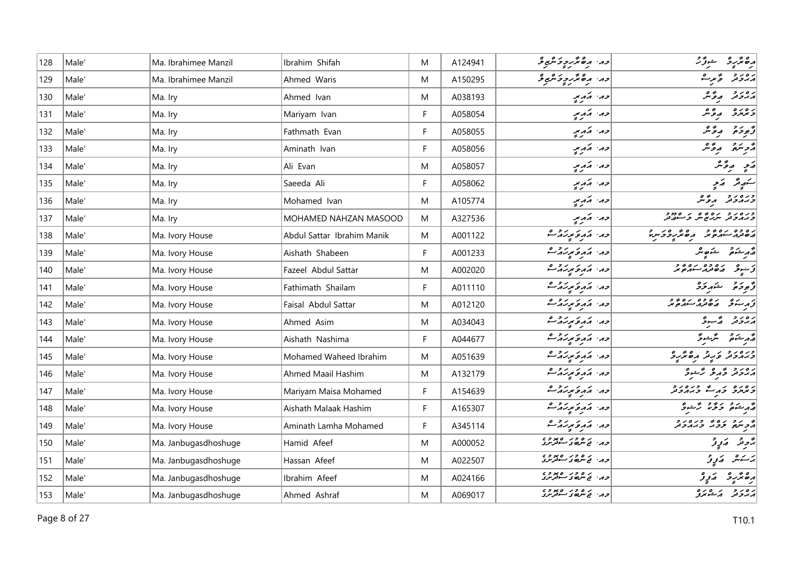| 128 | Male' | Ma. Ibrahimee Manzil | Ibrahim Shifah             | M  | A124941 | در. رە ئەردۈشى ئ                      | شەۋر<br>ا پر ځانگړنې د                                                    |
|-----|-------|----------------------|----------------------------|----|---------|---------------------------------------|---------------------------------------------------------------------------|
| 129 | Male' | Ma. Ibrahimee Manzil | Ahmed Waris                | M  | A150295 | در. رەئزر <sub>و د</sub> ىرى<br>ئ     | پر 2 پر 1<br>ۇ بر مە                                                      |
| 130 | Male' | Ma. Iry              | Ahmed Ivan                 | M  | A038193 | ه<br>۱۳۸۶ میلی                        | ەر ئەھر<br>بر 2 ر 1<br>مربر <del>5</del> تر                               |
| 131 | Male' | Ma. Iry              | Mariyam Ivan               | F  | A058054 | ه<br>احد مکرمی                        | ر ه ر ه<br><del>ر</del> بربر د<br>ەر ئەشر                                 |
| 132 | Male' | Ma. Iry              | Fathmath Evan              | F  | A058055 | احد مکرمیں<br>احد مکرمیں              | ەر ئەشر<br>ۇ ب <sub>و</sub> ر د                                           |
| 133 | Male' | Ma. Iry              | Aminath Ivan               | F  | A058056 | در به در                              | پر به برد<br>مرد سره<br>ەر ئەشر                                           |
| 134 | Male' | Ma. Iry              | Ali Evan                   | M  | A058057 | در. د در                              | أوسمج ويرقمنكم                                                            |
| 135 | Male' | Ma. Iry              | Saeeda Ali                 | F  | A058062 | $25 - 12$                             | سکھیقہ مکمتی                                                              |
| 136 | Male' | Ma. Iry              | Mohamed Ivan               | M  | A105774 | ه<br>احد مکرمی                        | ورەرو مۇش                                                                 |
| 137 | Male' | Ma. Iry              | MOHAMED NAHZAN MASOOD      | M  | A327536 | ه<br> حدا مکرمیہ                      | כנסגב גם זם גם בבב<br><mark>כ</mark> גובבת יי <i>נג</i> בית באיינות       |
| 138 | Male' | Ma. Ivory House      | Abdul Sattar Ibrahim Manik | M  | A001122 | <i>دە. مەدۇبىي ئ</i> ەر               | ر ٥ ۶ ٥ ر ٥ ۶ ۶<br>۵ ه تو ۹ سواره بو<br>ە ھەترىر 25 سرىد<br>بەھەترىر 25 س |
| 139 | Male' | Ma. Ivory House      | Aishath Shabeen            | F  | A001233 | دە. ئەر <i>ەپرىدە</i> ك               | ۇرخۇ خۇم                                                                  |
| 140 | Male' | Ma. Ivory House      | Fazeel Abdul Sattar        | M  | A002020 |                                       | تخ شوش پره ده دره در د                                                    |
| 141 | Male' | Ma. Ivory House      | Fathimath Shailam          | F  | A011110 | בו ה' ה' פ' בייה"                     | أزنوخي المشرخر                                                            |
| 142 | Male' | Ma. Ivory House      | Faisal Abdul Sattar        | M  | A012120 | <i>دە. مەمۇسىدى</i> گ                 | تەربەھ بەھ بەھ بەھ بەر                                                    |
| 143 | Male' | Ma. Ivory House      | Ahmed Asim                 | M  | A034043 | <i>دە. مەمۇبىرىدى</i>                 |                                                                           |
| 144 | Male' | Ma. Ivory House      | Aishath Nashima            | F. | A044677 | <i>دە. مەمۇسىدى</i> گ                 | دُ مِنْدَمْ سُرْشْدَرُّ                                                   |
| 145 | Male' | Ma. Ivory House      | Mohamed Waheed Ibrahim     | M  | A051639 | <i>دە. مەمۇبىرىدى</i>                 | ورەرو ریەتر مەمرىرو                                                       |
| 146 | Male' | Ma. Ivory House      | Ahmed Maail Hashim         | M  | A132179 | در. م <i>مدونبرند</i> ف<br>ا          | رەرد ۋرو رئىدۇ                                                            |
| 147 | Male' | Ma. Ivory House      | Mariyam Maisa Mohamed      | F. | A154639 | <i>دە. مەمۇسىدە</i> شە                | נינים בגל בנינים                                                          |
| 148 | Male' | Ma. Ivory House      | Aishath Malaak Hashim      | F  | A165307 | בו ה' ה' פ' ביירים                    | وأرشاه وتور والشو                                                         |
| 149 | Male' | Ma. Ivory House      | Aminath Lamha Mohamed      | F  | A345114 | <i>دە. مەمۇبىرىدى</i>                 | ه د د ده به دره د د<br>مرد شهر نروبر و برمرونتر                           |
| 150 | Male' | Ma. Janbugasdhoshuge | Hamid Afeef                | M  | A000052 | ر ۲۰۰۵ روپو د ۲<br>د ۲۰۰۸ کا سرحانورس | پژونژ   ډَ دٍ پژ                                                          |
| 151 | Male' | Ma. Janbugasdhoshuge | Hassan Afeef               | M  | A022507 | ر ہ در ہے دی۔<br>وہ نے سرچی سوترس     | يز ستاند الكاروقر                                                         |
| 152 | Male' | Ma. Janbugasdhoshuge | Ibrahim Afeef              | M  | A024166 | ر ۲۰۰۵ روپو د ۲<br>دړ کا شهاد سوترس   | ג <i>ە ئەر</i> 3 <sub>مۇ</sub> ر                                          |
| 153 | Male' | Ma. Janbugasdhoshuge | Ahmed Ashraf               | M  | A069017 | ر ہ د د ر میر د پ<br>دړ کے سرچی سوترس | ره رو در مرده<br>مربروتر مرشو <del>ب</del> رو                             |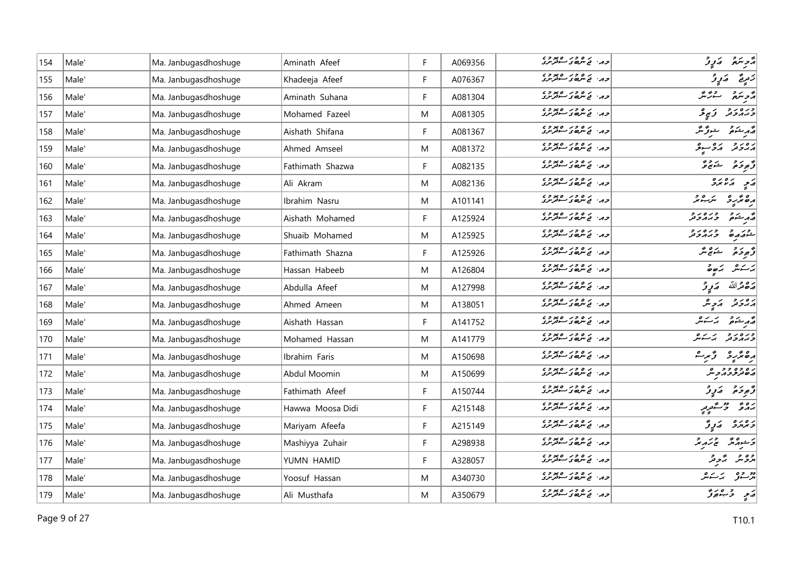| 154 | Male' | Ma. Janbugasdhoshuge | Aminath Afeef    | F  | A069356 | ر ہ در ہے دور<br>وہ کے سرچار کے فرگری          |                                                                                                                                                    |
|-----|-------|----------------------|------------------|----|---------|------------------------------------------------|----------------------------------------------------------------------------------------------------------------------------------------------------|
| 155 | Male' | Ma. Janbugasdhoshuge | Khadeeja Afeef   | F. | A076367 | ر ہ د د ر میر د پ<br>وړ کے سرچی سوترس          | تزمرچ = صَوِرْ                                                                                                                                     |
| 156 | Male' | Ma. Janbugasdhoshuge | Aminath Suhana   | F. | A081304 | ر ہ د د ر معدد ہ<br>وړ کے سرچی سوتوس           | يە ئەشر<br>پر به برد<br>مرب <i>ع</i> متعد                                                                                                          |
| 157 | Male' | Ma. Janbugasdhoshuge | Mohamed Fazeel   | M  | A081305 | ر ہ در ہے دور<br>وہ کے سرچار کے فرگری          | و ره ر و<br><i>و بر</i> د تر<br>تزىچە بحر                                                                                                          |
| 158 | Male' | Ma. Janbugasdhoshuge | Aishath Shifana  | F  | A081367 | ر ہ در ہے دور<br>وہ کے سرچار کے فرگری          | ۇرمىشقى سىرگىگە                                                                                                                                    |
| 159 | Male' | Ma. Janbugasdhoshuge | Ahmed Amseel     | M  | A081372 | ر ہ د در ہے د د<br>ور کے سرچی سوتوس            | ر ه ر د<br>م.رو تر<br>رۇسۇ                                                                                                                         |
| 160 | Male' | Ma. Janbugasdhoshuge | Fathimath Shazwa | F  | A082135 | ر ۲۰۰۵ روپو د ۲<br>دړ کا شهاد سوترس            | وٌجِرِحْرَ شَرَّحْرَ                                                                                                                               |
| 161 | Male' | Ma. Janbugasdhoshuge | Ali Akram        | M  | A082136 | ر ہ در ہے دور<br>وہ کے سر <i>ھ کے س</i> وٹریوی |                                                                                                                                                    |
| 162 | Male' | Ma. Janbugasdhoshuge | Ibrahim Nasru    | M  | A101141 | ر ہ د د ر میر د پ<br>وړ کے سرچی سوترس          | رەپرىرو بىر يەر                                                                                                                                    |
| 163 | Male' | Ma. Janbugasdhoshuge | Aishath Mohamed  | F  | A125924 | ر ہ د د ر معدد ہ<br>وړ کے سرچی سوتوس           | و رە ر د<br><i>د بر</i> گرىز<br>و د کر د د مختلفته<br>د کرد کر شکونه                                                                               |
| 164 | Male' | Ma. Janbugasdhoshuge | Shuaib Mohamed   | M  | A125925 | ر ہ د د ر معدد ہ<br>وړ کے سرچی سوتوس           | و رە ر د<br>تر پروتر<br>شەھەھ                                                                                                                      |
| 165 | Male' | Ma. Janbugasdhoshuge | Fathimath Shazna | F  | A125926 | ر ہ د د ر معدد ہ<br>وړ کے سرچی سوتوس           | ۇي <sub>ۇ</sub> رۇ شەھ ئىر                                                                                                                         |
| 166 | Male' | Ma. Janbugasdhoshuge | Hassan Habeeb    | M  | A126804 | ر ہ د د ر معدد ہ<br>وړ کے سرچی سوتوس           | يُرَ سَوَسْ بِرَصِيحَ                                                                                                                              |
| 167 | Male' | Ma. Janbugasdhoshuge | Abdulla Afeef    | M  | A127998 | ر ۲۰۰۵ روپو د ۲<br>دړ کا شهاد سوترس            | صقعرالله<br>پر تو تر                                                                                                                               |
| 168 | Male' | Ma. Janbugasdhoshuge | Ahmed Ameen      | M  | A138051 | ر ہ د در ہے د د<br>ور کے سرچی سوتوس            | دەر د كەچ ئى                                                                                                                                       |
| 169 | Male' | Ma. Janbugasdhoshuge | Aishath Hassan   | F. | A141752 | ر ہ د در ہے د د<br>ور کے سرچی سوتوس            | ۇرىشقى ئەسكىر                                                                                                                                      |
| 170 | Male' | Ma. Janbugasdhoshuge | Mohamed Hassan   | M  | A141779 | ر ہ د در ہے د د<br>ور کے سرچی سوتوس            | ورەرو پەسەش                                                                                                                                        |
| 171 | Male' | Ma. Janbugasdhoshuge | Ibrahim Faris    | M  | A150698 | ر ۲۰۰۵ روپو د ۲<br>دړ کا شهاد سوترس            | رەپر ئىر                                                                                                                                           |
| 172 | Male' | Ma. Janbugasdhoshuge | Abdul Moomin     | M  | A150699 | ر ہ د د ر ہے د د<br>وړ کے سرچی سوترس           | ره وه وو<br>په <i>ه تر تر د ب</i> ر س                                                                                                              |
| 173 | Male' | Ma. Janbugasdhoshuge | Fathimath Afeef  | F  | A150744 | ر ہ د د ر معدد ہ<br>وړ کے سرچی سوتوس           | قَ وَ حَوِدَ                                                                                                                                       |
| 174 | Male' | Ma. Janbugasdhoshuge | Hawwa Moosa Didi | F  | A215148 | ر ہ د د ر معدد ہ<br>وړ کے سرچی سوتوس           | ره و محمد محمد در در محمد براند.<br>ابراز محمد المحمد المحمد المحمد المحمد المحمد المحمد المحمد المحمد المحمد المحمد المحمد المحمد المحمد المحمد ا |
| 175 | Male' | Ma. Janbugasdhoshuge | Mariyam Afeefa   | F  | A215149 | ر ہ د د محدد ہ<br>وړ کے سرچی سوتوس             | دەرە كۆرگە                                                                                                                                         |
| 176 | Male' | Ma. Janbugasdhoshuge | Mashiyya Zuhair  | F  | A298938 | ر ۲۰۰۵ روپو د ۲<br>دړ که سرهای سوترس           | وَحْدِهِ مِنْ وَرَكْبِهِ مِنْ                                                                                                                      |
| 177 | Male' | Ma. Janbugasdhoshuge | YUMN HAMID       | F  | A328057 | ر ہ د د محدد ہ<br>وړ کے سرچی سوتوس             | وه د پر پروتر                                                                                                                                      |
| 178 | Male' | Ma. Janbugasdhoshuge | Yoosuf Hassan    | M  | A340730 | ر ہ د د محدد ہ<br>وړ کے سرچی سوتوس             | در ده برسه پر                                                                                                                                      |
| 179 | Male' | Ma. Janbugasdhoshuge | Ali Musthafa     | M  | A350679 | ر ہ د د د صدو ۽<br>ورڪ شي هي                   | أەمو وسعوفى                                                                                                                                        |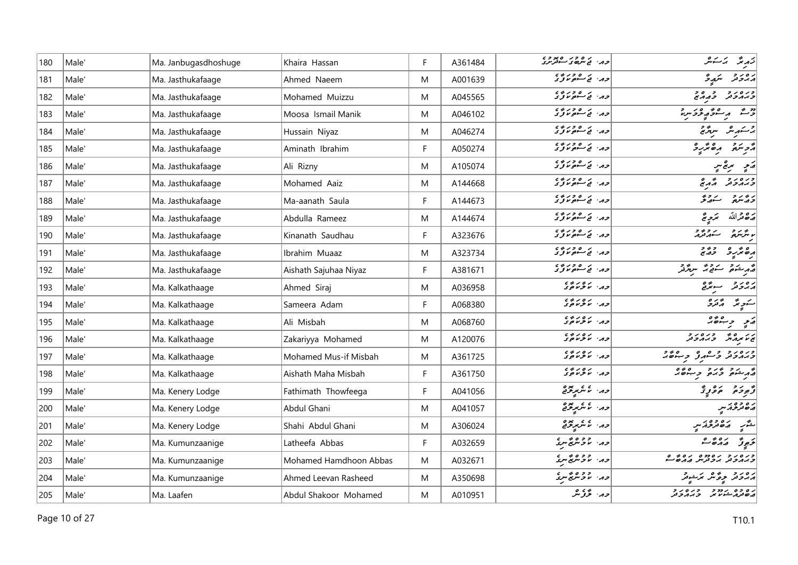| 180 | Male' | Ma. Janbugasdhoshuge | Khaira Hassan          | F  | A361484 | ر ہ در ہے دی۔<br>وہ نے سرچی سوترس                 | تەرىتى - ئەستەنتى                                 |
|-----|-------|----------------------|------------------------|----|---------|---------------------------------------------------|---------------------------------------------------|
| 181 | Male' | Ma. Jasthukafaage    | Ahmed Naeem            | M  | A001639 | وړ کو سوه <i>د و</i> ر<br>وړ کو سوه لوی           | بر ه بر د<br>م <i>. ب</i> ر <del>د</del> مر       |
| 182 | Male' | Ma. Jasthukafaage    | Mohamed Muizzu         | M  | A045565 | وړ کې سوه <i>د و</i> ر<br>وړ کې سوه <i>د و</i> ر  | כנסנכ כם<br>כגתכת כבת                             |
| 183 | Male' | Ma. Jasthukafaage    | Moosa Ismail Manik     | M  | A046102 | وړ کې سوچ <i>دی</i> دی<br>وړ کې سوچ <i>د</i> نو د | כל גלה ביברית                                     |
| 184 | Male' | Ma. Jasthukafaage    | Hussain Niyaz          | M  | A046274 | وړ کے سورتوری<br>وړ کے سورتوری                    | برستهر شهر سرمر                                   |
| 185 | Male' | Ma. Jasthukafaage    | Aminath Ibrahim        | F. | A050274 | وړ کې سه د د د د د                                | أروبته وكالرو                                     |
| 186 | Male' | Ma. Jasthukafaage    | Ali Rizny              | M  | A105074 | وړ کو سهجونونو د د                                | أەسم بىر ئەسمە                                    |
| 187 | Male' | Ma. Jasthukafaage    | Mohamed Aaiz           | M  | A144668 | وړ کو سوځ دی.<br>وړ کو سوځ تو ت                   | כנסנכ בים                                         |
| 188 | Male' | Ma. Jasthukafaage    | Ma-aanath Saula        | F  | A144673 | وړ کې سه د د د د د                                | ر پر ر<br>5 مارچ<br>ستهزعز                        |
| 189 | Male' | Ma. Jasthukafaage    | Abdulla Rameez         | M  | A144674 | وړ کې سه د د د د د                                | برة قرالله<br>بمردع                               |
| 190 | Male' | Ma. Jasthukafaage    | Kinanath Saudhau       | F. | A323676 | وړ کو سوه <i>د و</i> ر<br>وړ کو سوه <i>د و</i> ر  | سە دىمەد<br>ىدىئە ئىبرى                           |
| 191 | Male' | Ma. Jasthukafaage    | Ibrahim Muaaz          | M  | A323734 | وړ کو سوځ دی.<br>وړ کو سوځ تو ت                   | دە ئەر دەر                                        |
| 192 | Male' | Ma. Jasthukafaage    | Aishath Sajuhaa Niyaz  | F  | A381671 | وړ٠ نح سو <sub>ن</sub> و د دي                     | و المرد و المستوفر المستر                         |
| 193 | Male' | Ma. Kalkathaage      | Ahmed Siraj            | M  | A036958 | גם גם.<br>כגי ע <del>ל</del> עים צ                | أرور والمسترجي                                    |
| 194 | Male' | Ma. Kalkathaage      | Sameera Adam           | F  | A068380 | גם גם.<br>כו <i>גי עלע</i> ם צ                    | سَوِيرٌ دُمْرَدٌ                                  |
| 195 | Male' | Ma. Kalkathaage      | Ali Misbah             | M  | A068760 | גם גם.<br>כגי ע <del>ל</del> עים צ                | $rac{1}{20}$                                      |
| 196 | Male' | Ma. Kalkathaage      | Zakariyya Mohamed      | M  | A120076 | גם גם.<br>כ <i>חי עלע</i> ם <i>צ</i>              | גן פי כנסנים                                      |
| 197 | Male' | Ma. Kalkathaage      | Mohamed Mus-if Misbah  | M  | A361725 | גם גם.<br>כ <i>חי עלע</i> ם <i>צ</i>              | כנהגב כם כן כביד                                  |
| 198 | Male' | Ma. Kalkathaage      | Aishath Maha Misbah    | F  | A361750 | גם גם גם<br>כ <i>חי</i> עצעם צ                    | ورشنو ورو وجوه                                    |
| 199 | Male' | Ma. Kenery Lodge     | Fathimath Thowfeega    | F. | A041056 | وړ٠ تا تنریز ده                                   | أَوْجِعَةٍ حَمَّدٍ لَهُمْ يَسْتَمَّا              |
| 200 | Male' | Ma. Kenery Lodge     | Abdul Ghani            | M  | A041057 | وړ٠ تأثیر پروفخ                                   | ره وه د بر<br>اړه مرمرز س                         |
| 201 | Male' | Ma. Kenery Lodge     | Shahi Abdul Ghani      | M  | A306024 | در گرگر بود                                       | شی ره دور س                                       |
| 202 | Male' | Ma. Kumunzaanige     | Latheefa Abbas         | F  | A032659 | ور. باوموچ سر                                     | خبوژ مەمۋى                                        |
| 203 | Male' | Ma. Kumunzaanige     | Mohamed Hamdhoon Abbas | M  | A032671 | ور. باوسی سر                                      | כנסגב גסמם גסש ם<br>בגהכת גבתית ההסיי             |
| 204 | Male' | Ma. Kumunzaanige     | Ahmed Leevan Rasheed   | M  | A350698 | وړ٠ نوو سرچ سرچ                                   | رەر <i>د پو</i> گىر بر <sub>ىشو</sub> ر           |
| 205 | Male' | Ma. Laafen           | Abdul Shakoor Mohamed  | M  | A010951 | وە . ئۇن <i>ى</i> ر                               | ره وه ردد و دره رو<br>پره ترپر شونو سر و بربرو تر |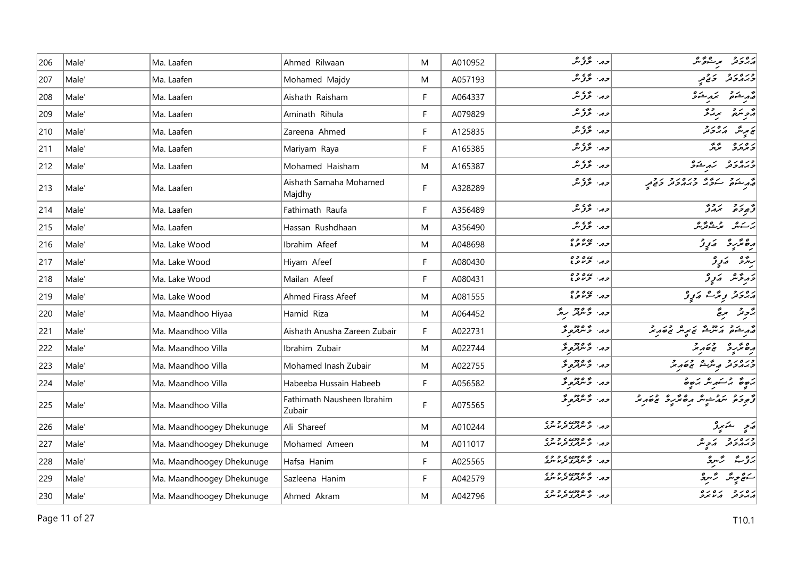| 206 | Male' | Ma. Laafen                | Ahmed Rilwaan                        | M  | A010952 | دە. ئۇرىگ                                                        | رەرد برىمۇش                        |
|-----|-------|---------------------------|--------------------------------------|----|---------|------------------------------------------------------------------|------------------------------------|
| 207 | Male' | Ma. Laafen                | Mohamed Majdy                        | M  | A057193 | دە . ئۇگىر                                                       | ورەر درو<br>دىرمەمر كەنجە          |
| 208 | Male' | Ma. Laafen                | Aishath Raisham                      | F. | A064337 | دە. ئۇگىر                                                        | گەرشىقى ئىمەشك                     |
| 209 | Male' | Ma. Laafen                | Aminath Rihula                       | F. | A079829 | دە. ئۇرىر                                                        | وحريتم بررقة                       |
| 210 | Male' | Ma. Laafen                | Zareena Ahmed                        | F  | A125835 | دە. ئۇگىر                                                        | پرور و<br>ئىم م <sub>ىر</sub> ىتىر |
| 211 | Male' | Ma. Laafen                | Mariyam Raya                         | F  | A165385 | دە. ئۇرىر                                                        | ر ہ رہ ہے۔                         |
| 212 | Male' | Ma. Laafen                | Mohamed Haisham                      | M  | A165387 | دە. ئۇرىر                                                        | ورەرو كەخۇ                         |
| 213 | Male' | Ma. Laafen                | Aishath Samaha Mohamed<br>Majdhy     | F  | A328289 | دە. ئۇرىگە                                                       |                                    |
| 214 | Male' | Ma. Laafen                | Fathimath Raufa                      | F  | A356489 | دە . ئۇگىر                                                       | و دو بردو                          |
| 215 | Male' | Ma. Laafen                | Hassan Rushdhaan                     | M  | A356490 | دە. ئۇزىئر                                                       | ىر سەش بۇيدە ئۆرش                  |
| 216 | Male' | Ma. Lake Wood             | Ibrahim Afeef                        | M  | A048698 | ی ه و ه<br>و د کومون                                             |                                    |
| 217 | Male' | Ma. Lake Wood             | Hiyam Afeef                          | F. | A080430 | ی ه و ه<br>و د کومون                                             | رپړو ډېړو                          |
| 218 | Male' | Ma. Lake Wood             | Mailan Afeef                         | F. | A080431 |                                                                  | خىرى ئىر ئەرە                      |
| 219 | Male' | Ma. Lake Wood             | Ahmed Firass Afeef                   | M  | A081555 | ی ه د ه<br>ود کومانو نا                                          | برودة وبزع مزرو                    |
| 220 | Male' | Ma. Maandhoo Hiyaa        | Hamid Riza                           | M  | A064452 | ور وسربر بار                                                     | جحوفر المرجح                       |
| 221 | Male' | Ma. Maandhoo Villa        | Aishath Anusha Zareen Zubair         | F  | A022731 | وړ گرمونونو گ                                                    | ה<br>התשים, היתש התיית הסתיב       |
| 222 | Male' | Ma. Maandhoo Villa        | Ibrahim Zubair                       | M  | A022744 | وړ٠ د شورونځ                                                     | תפתקים בסתת                        |
| 223 | Male' | Ma. Maandhoo Villa        | Mohamed Inash Zubair                 | M  | A022755 | وړ٠ وسربرونو                                                     | כנסנב הייתים בפוב                  |
| 224 | Male' | Ma. Maandhoo Villa        | Habeeba Hussain Habeeb               | F  | A056582 | در گوهروگر                                                       | برَهة برُسَر برُ برَهة             |
| 225 | Male' | Ma. Maandhoo Villa        | Fathimath Nausheen Ibrahim<br>Zubair | F. | A075565 | وړ ژمپورونژ                                                      | ژوده سريسر مهند و مرد مهند         |
| 226 | Male' | Ma. Maandhoogey Dhekunuge | Ali Shareef                          | M  | A010244 | و د ۱۵۶۶ و د د د<br>و د ۱۰ و سربر و توما سرو                     | أركمني المستكبر                    |
| 227 | Male' | Ma. Maandhoogey Dhekunuge | Mohamed Ameen                        | M  | A011017 | و د ۱۵۶۶ و د د د<br>و د ۱۰ و سربر و توما سرو                     | ورەرو كەچىگ                        |
| 228 | Male' | Ma. Maandhoogey Dhekunuge | Hafsa Hanim                          | F  | A025565 | ه ۲۵ وووړ ته ۶ و د ۲<br>تره ۱۰ تر سرتنرۍ تنرما سربۍ              | برو پە<br>ر محسنه بر               |
| 229 | Male' | Ma. Maandhoogey Dhekunuge | Sazleena Hanim                       | F  | A042579 | د در سر دره دره در دره در دره باشد کند.<br>در در سر شری توما سرب | سەھ پەنگە ئەربۇ                    |
| 230 | Male' | Ma. Maandhoogey Dhekunuge | Ahmed Akram                          | M  | A042796 | و د ۲۰ و دون د د د د<br>و د ۲ و سرتر د ترم سرو                   | גפיב גםים                          |
|     |       |                           |                                      |    |         |                                                                  |                                    |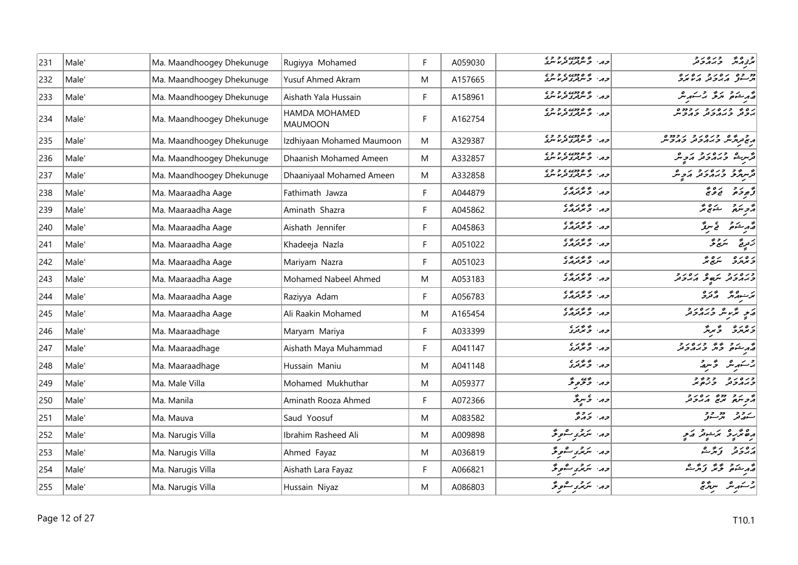| 231 | Male' | Ma. Maandhoogey Dhekunuge | Rugiyya Mohamed                        | F         | A059030 | ه و و و و و و و و<br>و پر ۰ قر سربوری توریم سوی | و وه ورورو<br>برقا <i>مان وب</i> ارونر |
|-----|-------|---------------------------|----------------------------------------|-----------|---------|-------------------------------------------------|----------------------------------------|
| 232 | Male' | Ma. Maandhoogey Dhekunuge | Yusuf Ahmed Akram                      | M         | A157665 | و و و و و و و و<br>و پس مسرفری توما سربی        | חר כם גם גם גם גם<br>ת—נצ גגבע, געיבב  |
| 233 | Male' | Ma. Maandhoogey Dhekunuge | Aishath Yala Hussain                   | F         | A158961 | و د ۱۵۶۶ و د د د<br>و د ۱۰ و سربر و توما سرو    | ە ئەر ئىسىم ئىر ئىلى ئىسىر ئىر         |
| 234 | Male' | Ma. Maandhoogey Dhekunuge | <b>HAMDA MOHAMED</b><br><b>MAUMOON</b> | F         | A162754 | و د به دودن د و د د<br>وړ کوسربر د توما سرو     | נסט כנסנכ נכחים<br>גבת כגובת כובית     |
| 235 | Male' | Ma. Maandhoogey Dhekunuge | Izdhiyaan Mohamed Maumoon              | ${\sf M}$ | A329387 | ه ۲۵۶۵ ووړ و د د د<br>د پر ۱۰ و سرتر و ترم سرو  | כ גם כנסנכ נכחם<br>גבתתית כמגבת בגבית  |
| 236 | Male' | Ma. Maandhoogey Dhekunuge | Dhaanish Mohamed Ameen                 | M         | A332857 | ه ۵ وووړي و و د<br>و پر ۰ و سربرۍ توما سرل      | ترس وبروبر وبرعر                       |
| 237 | Male' | Ma. Maandhoogey Dhekunuge | Dhaaniyaal Mohamed Ameen               | M         | A332858 | ه و و و و و و و و<br>و پر ۰ قر سربوری توریم سوی | ترسر و دره د د به در بر                |
| 238 | Male' | Ma. Maaraadha Aage        | Fathimath Jawza                        | F         | A044879 | כני כיתנגם<br>כני כיתנתג                        | أوجوحهم فيحدثني                        |
| 239 | Male' | Ma. Maaraadha Aage        | Aminath Shazra                         | F         | A045862 | و در دره در<br>در کرده                          | د دره شوه د                            |
| 240 | Male' | Ma. Maaraadha Aage        | Aishath Jennifer                       | F         | A045863 | כו - כ"ו בי ב"<br>כו - כ"ו בינומ"ב              | أَمَّ مِ شَهْمٍ فَ سِمَّةٌ             |
| 241 | Male' | Ma. Maaraadha Aage        | Khadeeja Nazla                         | F         | A051022 | و در دره در در در در با                         | زَمِرِيَّ<br>سرچ پخه                   |
| 242 | Male' | Ma. Maaraadha Aage        | Mariyam Nazra                          | F         | A051023 | و در دره در<br>وړ کرمر <i>ون</i>                | ره ره پره پر                           |
| 243 | Male' | Ma. Maaraadha Aage        | Mohamed Nabeel Ahmed                   | M         | A053183 |                                                 | ورەرو رىھى ئەدرو                       |
| 244 | Male' | Ma. Maaraadha Aage        | Raziyya Adam                           | F         | A056783 | כני כיתנגים<br>כני כיתנגנים                     | ترسىدە ئەرە                            |
| 245 | Male' | Ma. Maaraadha Aage        | Ali Raakin Mohamed                     | M         | A165454 |                                                 | أزو بزربند وبرورو                      |
| 246 | Male' | Ma. Maaraadhaqe           | Maryam Mariya                          | F         | A033399 | و در په دره<br>و در گرمزد                       | رەرە ئەرئە                             |
| 247 | Male' | Ma. Maaraadhage           | Aishath Maya Muhammad                  | F         | A041147 | و در په دره<br>وه ز گرمزد                       | ه مشرح و در در در د                    |
| 248 | Male' | Ma. Maaraadhage           | Hussain Maniu                          | M         | A041148 | و در په دره<br>ور کرمزد                         | 2 سەر شەر ئەس                          |
| 249 | Male' | Ma. Male Villa            | Mohamed Mukhuthar                      | M         | A059377 | وړ گوگوگر                                       | ورەر د دولاد<br><i>دېد</i> ردىر درگونم |
| 250 | Male' | Ma. Manila                | Aminath Rooza Ahmed                    | F         | A072366 | حەر. ئ <i>ۇس</i> رى <i>گى</i>                   | ه در د ده ده دو.<br>مرد شي مرد مدد تر  |
| 251 | Male' | Ma. Mauva                 | Saud Yoosuf                            | M         | A083582 | כ <i>ת - כ</i> תיב                              | ה ככן תיהוב                            |
| 252 | Male' | Ma. Narugis Villa         | Ibrahim Rasheed Ali                    | M         | A009898 | حەر، سى <i>تى</i> تىر <u>ش</u> ىھونچە           | ارەتمەر ئەسىر ئەر<br>مەمەر ئەسىر       |
| 253 | Male' | Ma. Narugis Villa         | Ahmed Fayaz                            | M         | A036819 | حەر، سى <i>تى</i> تىر <u>ش</u> ىھونچە           | دەر دې تەر                             |
| 254 | Male' | Ma. Narugis Villa         | Aishath Lara Fayaz                     | F         | A066821 | حەر، س <i>رىڭ ئو</i> رىشى بەرگە                 | ەر ئىسىم ئۇنگر كەنگەشى                 |
| 255 | Male' | Ma. Narugis Villa         | Hussain Niyaz                          | M         | A086803 | حەر، س <i>رىڭ ئو</i> رىشى بەرگە                 | بر کے مریش سرمرج                       |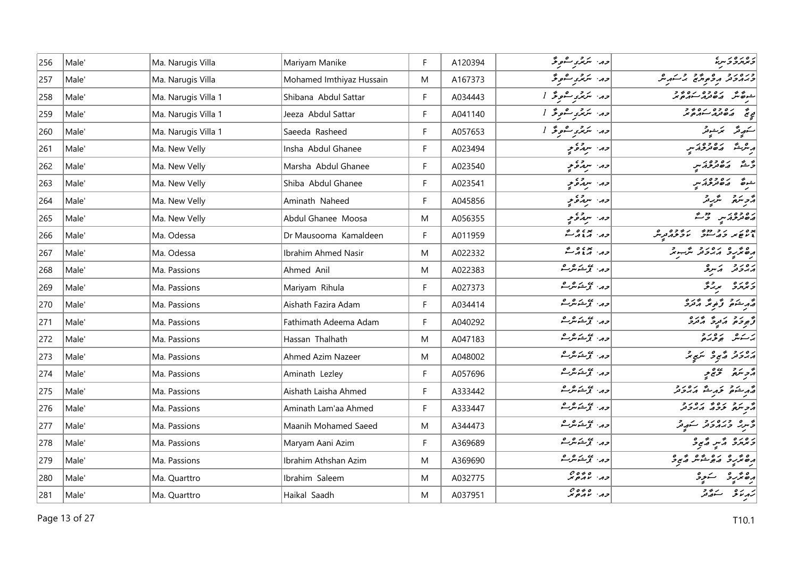| 256 | Male' | Ma. Narugis Villa   | Mariyam Manike           | F           | A120394 | دە ئىرىزى سىمو ق         | ز ه ر ه ر په                                     |
|-----|-------|---------------------|--------------------------|-------------|---------|--------------------------|--------------------------------------------------|
| 257 | Male' | Ma. Narugis Villa   | Mohamed Imthiyaz Hussain | M           | A167373 | دە. سەپرىي سىمو ق        | כנסגב תכתוב באתית                                |
| 258 | Male' | Ma. Narugis Villa 1 | Shibana Abdul Sattar     | F           | A034443 | دە. ئىگرى سىمو ئە 1      | شوخه ده ده ده در در<br>شوخه شده در سوره پر       |
| 259 | Male' | Ma. Narugis Villa 1 | Jeeza Abdul Sattar       | F           | A041140 | دە. ئىگرىموسقوقە 1       | م ده ده ده ده د <del>ه</del><br>محی شهر در دو د  |
| 260 | Male' | Ma. Narugis Villa 1 | Saeeda Rasheed           | F           | A057653 | حەر سىتىر مەھ بۇ 1       | سكم يتم الكركسون                                 |
| 261 | Male' | Ma. New Velly       | Insha Abdul Ghanee       | F.          | A023494 | وړ٠ سرمرو پو             | ر عرث ره دورسر                                   |
| 262 | Male' | Ma. New Velly       | Marsha Abdul Ghanee      | $\mathsf F$ | A023540 | حەر. سرە ئەھ<br>ئ        | و مع ده دور سر                                   |
| 263 | Male' | Ma. New Velly       | Shiba Abdul Ghanee       | F           | A023541 | در سرقمو                 | شوځ ره وه زمند                                   |
| 264 | Male' | Ma. New Velly       | Aminath Naheed           | F           | A045856 | در. سر <sup>و ج</sup> و  | ړې سره گرېږمر                                    |
| 265 | Male' | Ma. New Velly       | Abdul Ghanee Moosa       | M           | A056355 | در سرقمو                 | גם כסג קייבי                                     |
| 266 | Male' | Ma. Odessa          | Dr Mausooma Kamaldeen    | F           | A011959 | $2022 - 12$              | x0 ע גר מי ג'ו ג'ס ס<br>ג'וושיג קוג' ייר עק צוגע |
| 267 | Male' | Ma. Odessa          | Ibrahim Ahmed Nasir      | M           | A022332 | حدر مورم شه              | مصر و درود شهر                                   |
| 268 | Male' | Ma. Passions        | Ahmed Anil               | M           | A022383 | <i>حەر . بۇ</i> يخەنلەپ  | أرور وسرو                                        |
| 269 | Male' | Ma. Passions        | Mariyam Rihula           | F           | A027373 | <i>حەر، بۇ</i> ستەمىرىشە | رەرە برقر                                        |
| 270 | Male' | Ma. Passions        | Aishath Fazira Adam      | F           | A034414 | <i>حەر، بۇ</i> ستەمىرىشە | مەر شىم ئۇي ئەرە                                 |
| 271 | Male' | Ma. Passions        | Fathimath Adeema Adam    | F           | A040292 | <i>حەر بۇ</i> يشكەنگرىشە | تجمج وتحمير والمتراثر                            |
| 272 | Male' | Ma. Passions        | Hassan Thalhath          | M           | A047183 | <i>دە. بۇ</i> ھەشرىق     | يركبش ودودة                                      |
| 273 | Male' | Ma. Passions        | <b>Ahmed Azim Nazeer</b> | M           | A048002 | <i>دە. بۇ</i> شكەش       | أورد ومجاد اللهام                                |
| 274 | Male' | Ma. Passions        | Aminath Lezley           | E           | A057696 | حەر. ئۇيسەمبىر مى        | أأزو يترة فتحيح محيا                             |
| 275 | Male' | Ma. Passions        | Aishath Laisha Ahmed     | F           | A333442 | <i>حەر، بۇ</i> ىشەمىرىشە | مەر شەر ئەر شە كەر دىر                           |
| 276 | Male' | Ma. Passions        | Aminath Lam'aa Ahmed     | F           | A333447 | <i>حەر، بۇ</i> ستەمىرىشە |                                                  |
| 277 | Male' | Ma. Passions        | Maanih Mohamed Saeed     | M           | A344473 | <i>حەر بۇ</i> ستەنگرىش   | ومرد وبرودو كردو                                 |
| 278 | Male' | Ma. Passions        | Maryam Aani Azim         | F           | A369689 | حەر، ئۇيغۇشرىشە          | وتمرمرد كمبر كمبرد                               |
| 279 | Male' | Ma. Passions        | Ibrahim Athshan Azim     | M           | A369690 | حەر، ئۇيسكەنلەپ          | ת פיציב התייבית הבי                              |
| 280 | Male' | Ma. Quarttro        | Ibrahim Saleem           | M           | A032775 | $\frac{0000}{x}$         |                                                  |
| 281 | Male' | Ma. Quarttro        | Haikal Saadh             | M           | A037951 | כתי מתפת<br>כתי מתפת     |                                                  |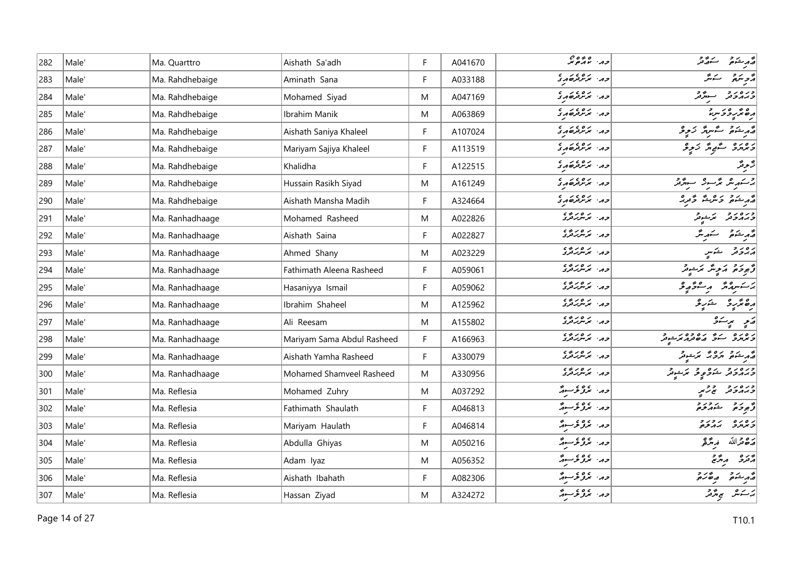| 282 | Male' | Ma. Quarttro    | Aishath Sa'adh             | F  | A041670 | כתי ט <i>וריפית</i>                      | أوكر مشكوم المستور مراجع                                  |
|-----|-------|-----------------|----------------------------|----|---------|------------------------------------------|-----------------------------------------------------------|
| 283 | Male' | Ma. Rahdhebaige | Aminath Sana               | F  | A033188 | ره په دره دره د                          | أرمح سنوسك سنوسكر                                         |
| 284 | Male' | Ma. Rahdhebaige | Mohamed Siyad              | M  | A047169 | בו המתמסת ב                              | ور ه ر و و و<br><i>و پر پر و</i> تر                       |
| 285 | Male' | Ma. Rahdhebaige | Ibrahim Manik              | M  | A063869 | وړ کوموړي د د                            | ە ھەمگەر 2 كەس <sup>رى</sup> ر                            |
| 286 | Male' | Ma. Rahdhebaige | Aishath Saniya Khaleel     | F  | A107024 | ره په دره دره د                          | ر<br>مەرشىمى كەس ئىچ                                      |
| 287 | Male' | Ma. Rahdhebaige | Mariyam Sajiya Khaleel     | F  | A113519 | وړ٠ برسرمرخه د ک                         | د مرمرو گورم تروی                                         |
| 288 | Male' | Ma. Rahdhebaige | Khalidha                   | F  | A122515 | כו. <sub>י</sub> תינת <i>ס</i> ת ב       | رَّحْرِ مَرَّ                                             |
| 289 | Male' | Ma. Rahdhebaige | Hussain Rasikh Siyad       | M  | A161249 | ره په دوم<br>ده ۶ مرمزموه د              | ج سەمەھر مۇسور ھەر بىر<br>مەسەم                           |
| 290 | Male' | Ma. Rahdhebaige | Aishath Mansha Madih       | F  | A324664 | ره په دره ده کار د کا                    | أأمر والمنفقي والمحافر والمحمد                            |
| 291 | Male' | Ma. Ranhadhaage | Mohamed Rasheed            | M  | A022826 | و در بر در در در د                       | وره رو گرشونر<br>د بر دونر گرشونر                         |
| 292 | Male' | Ma. Ranhadhaage | Aishath Saina              | F  | A022827 | و در بر در در در د                       | أقدم يسكوهم التسكر متكر                                   |
| 293 | Male' | Ma. Ranhadhaage | Ahmed Shany                | M  | A023229 | و در بر در در در د                       | پرورو شکسي                                                |
| 294 | Male' | Ma. Ranhadhaage | Fathimath Aleena Rasheed   | F  | A059061 | و در بر در دره د                         | توجوخو متجنز ترجيز                                        |
| 295 | Male' | Ma. Ranhadhaage | Hasaniyya Ismail           | F  | A059062 | و در بر ه ر د د<br>و د بر سرس            | ىكسىر ئەس بەر ئەر ئەر                                     |
| 296 | Male' | Ma. Ranhadhaage | Ibrahim Shaheel            | M  | A125962 | ر ہ ر د د .<br>وړ . نرس د ترو            |                                                           |
| 297 | Male' | Ma. Ranhadhaage | Ali Reesam                 | M  | A155802 |                                          | أەيم سيرسكون                                              |
| 298 | Male' | Ma. Ranhadhaaqe | Mariyam Sama Abdul Rasheed | F. | A166963 | و در بر در در در د                       | ر ٥ ر ٥ د ٥ ر ٥ و ٥ ر د و<br>و بربرو سوش پره تر پر برشوتر |
| 299 | Male' | Ma. Ranhadhaage | Aishath Yamha Rasheed      | F. | A330079 | وړ ۰ مرس <i>ور وي</i>                    |                                                           |
| 300 | Male' | Ma. Ranhadhaage | Mohamed Shamveel Rasheed   | M  | A330956 | د د. بر در د د .<br>د د . بر سربرترد     | ورەر دېرو دې ترشوتر                                       |
| 301 | Male' | Ma. Reflesia    | Mohamed Zuhry              | M  | A037292 | ە دە بىر ئەھەر بىر<br>تەر بىر ئىرى سەرگە | ورەرو ووپر                                                |
| 302 | Male' | Ma. Reflesia    | Fathimath Shaulath         | F  | A046813 |                                          | و ده شهروه                                                |
| 303 | Male' | Ma. Reflesia    | Mariyam Haulath            | F  | A046814 | وە بىرونى-مە                             | נים נים ניבים.<br>כינות כי ג'ורים                         |
| 304 | Male' | Ma. Reflesia    | Abdulla Ghiyas             | M  | A050216 | ود برو و سرگ                             | ح صحرالله مرتزهي                                          |
| 305 | Male' | Ma. Reflesia    | Adam Iyaz                  | M  | A056352 | وړ برونو به                              | أرمز برائح                                                |
| 306 | Male' | Ma. Reflesia    | Aishath Ibahath            | F. | A082306 | وړ٠ برونو سرچ                            | وأرشنق وحازة                                              |
| 307 | Male' | Ma. Reflesia    | Hassan Ziyad               | M  | A324272 | وە بىرونى-مە                             | يرُ سَەش سى پر ترىتر                                      |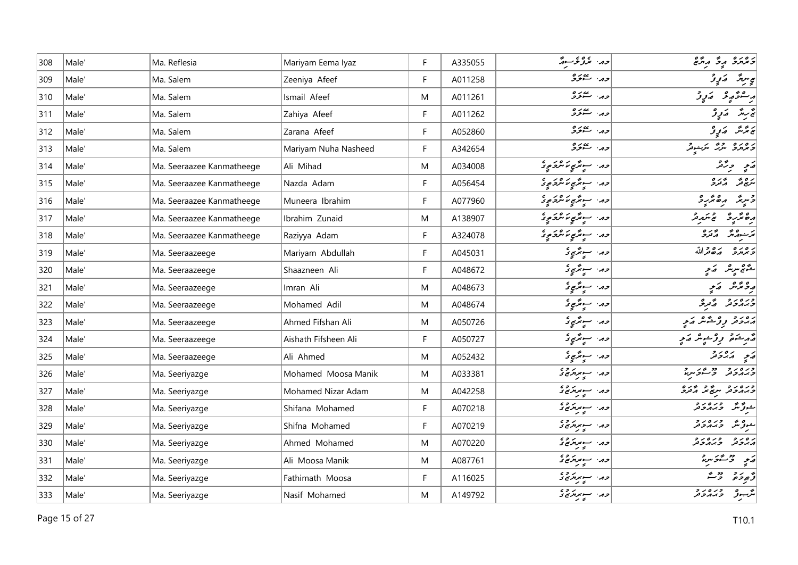| 308 | Male' | Ma. Reflesia              | Mariyam Eema Iyaz    | $\mathsf F$ | A335055 | وړ برونو د م                                                                                                                                                                                                                    | במתכ תב תתם                      |
|-----|-------|---------------------------|----------------------|-------------|---------|---------------------------------------------------------------------------------------------------------------------------------------------------------------------------------------------------------------------------------|----------------------------------|
| 309 | Male' | Ma. Salem                 | Zeeniya Afeef        | F           | A011258 | وړ کنوو                                                                                                                                                                                                                         | ې سرگر کړې تر                    |
| 310 | Male' | Ma. Salem                 | Ismail Afeef         | M           | A011261 | وړ کنوو                                                                                                                                                                                                                         | وستوفي في مدرو                   |
| 311 | Male' | Ma. Salem                 | Zahiya Afeef         | F.          | A011262 | ود. ڪڙو                                                                                                                                                                                                                         | تجرير كالمي ومحمج وحما           |
| 312 | Male' | Ma. Salem                 | Zarana Afeef         | F           | A052860 | وړ کنوو                                                                                                                                                                                                                         | ىز ئەستىر ئەربى                  |
| 313 | Male' | Ma. Salem                 | Mariyam Nuha Nasheed | $\mathsf F$ | A342654 | وړ شوده                                                                                                                                                                                                                         | رەرە دۇ. ئەيدو                   |
| 314 | Male' | Ma. Seeraazee Kanmatheege | Ali Mihad            | M           | A034008 | <i>دە. سوندى ئەندە ۋ</i> ې                                                                                                                                                                                                      | أأوالمحمد ورمحما                 |
| 315 | Male' | Ma. Seeraazee Kanmatheege | Nazda Adam           | F           | A056454 | حەر. سېتىرى ئەنىر دىرى<br>مەن سېتىرى ئانىرى تۈرى                                                                                                                                                                                | برەپژ گ <sup>ەرە</sup>           |
| 316 | Male' | Ma. Seeraazee Kanmatheege | Muneera Ibrahim      | F           | A077960 | حەر، سېتمېرىم مىرى <i>خ م</i> وكى                                                                                                                                                                                               | دېږيځه رەمۇرد                    |
| 317 | Male' | Ma. Seeraazee Kanmatheege | Ibrahim Zunaid       | M           | A138907 | <i>د</i> ړ. سومگيږ مګر <i>د ک</i> و د                                                                                                                                                                                           | رە ئەر ئى ئىر                    |
| 318 | Male' | Ma. Seeraazee Kanmatheege | Raziyya Adam         | F           | A324078 | حەر، سېتمە ئەتىرە ئەتتىمى ئە                                                                                                                                                                                                    | يز شود به برده                   |
| 319 | Male' | Ma. Seeraazeege           | Mariyam Abdullah     | $\mathsf F$ | A045031 | در. سوټرېږي<br>په سوټر                                                                                                                                                                                                          | تروره روورالله                   |
| 320 | Male' | Ma. Seeraazeege           | Shaazneen Ali        | $\mathsf F$ | A048672 | دړ. سوپژېږي<br>د                                                                                                                                                                                                                | شَرَّجْ سِرْسُ } كَيْرٍ          |
| 321 | Male' | Ma. Seeraazeege           | Imran Ali            | M           | A048673 | در.<br>سوټرېږي                                                                                                                                                                                                                  | رو پژند کمی                      |
| 322 | Male' | Ma. Seeraazeege           | Mohamed Adil         | M           | A048674 | در.<br>سومری                                                                                                                                                                                                                    | ورەر د ئور                       |
| 323 | Male' | Ma. Seeraazeege           | Ahmed Fifshan Ali    | M           | A050726 | دە. سومگىي ئ                                                                                                                                                                                                                    | رورد روشه <sub>مو</sub>          |
| 324 | Male' | Ma. Seeraazeege           | Aishath Fifsheen Ali | F.          | A050727 | دە. سوپرىپى<br>ئ                                                                                                                                                                                                                | وأرخني ووحياه وي                 |
| 325 | Male' | Ma. Seeraazeege           | Ali Ahmed            | M           | A052432 | حەر. سېزىتى ئى                                                                                                                                                                                                                  | أركمني أتراد والمحمد             |
| 326 | Male' | Ma. Seeriyazge            | Mohamed Moosa Manik  | M           | A033381 | כוחי ישמחומים ב                                                                                                                                                                                                                 | כנסנכ כביבנים<br>כמוכני כילכיתיו |
| 327 | Male' | Ma. Seeriyazge            | Mohamed Nizar Adam   | M           | A042258 |                                                                                                                                                                                                                                 | ورەرو سرچ پر مدره                |
| 328 | Male' | Ma. Seeriyazge            | Shifana Mohamed      | $\mathsf F$ | A070218 | קורי והתוקדות היום וביום וביום וביום וביום וביום וביום וביום וביום וביום וביום וביום וביום וביום וביום וביום ו<br>את היום וביום וביום וביום וביום וביום וביום וביום וביום וביום וביום וביום וביום וביום וביום וביום וביום וביום | أحورٌ شر ورەر د                  |
| 329 | Male' | Ma. Seeriyazge            | Shifna Mohamed       | F           | A070219 | $\frac{1}{2}$<br>$\frac{1}{2}$                                                                                                                                                                                                  | شور شر در در د                   |
| 330 | Male' | Ma. Seeriyazge            | Ahmed Mohamed        | M           | A070220 |                                                                                                                                                                                                                                 | ג פגב בגם גב<br>גגבע בגגבע       |
| 331 | Male' | Ma. Seeriyazge            | Ali Moosa Manik      | M           | A087761 | כף היו היו היו בין<br>ד                                                                                                                                                                                                         | ה כי היו ה                       |
| 332 | Male' | Ma. Seeriyazge            | Fathimath Moosa      | F           | A116025 | כ ג' – ייבאת איב<br>ז' ג' – י                                                                                                                                                                                                   | دو مح<br>و مر د<br>تر موحر می    |
| 333 | Male' | Ma. Seeriyazge            | Nasif Mohamed        | M           | A149792 | <br> כני המתחשב<br> -                                                                                                                                                                                                           | نگرېبوتو <i>د ډ</i> ره د د       |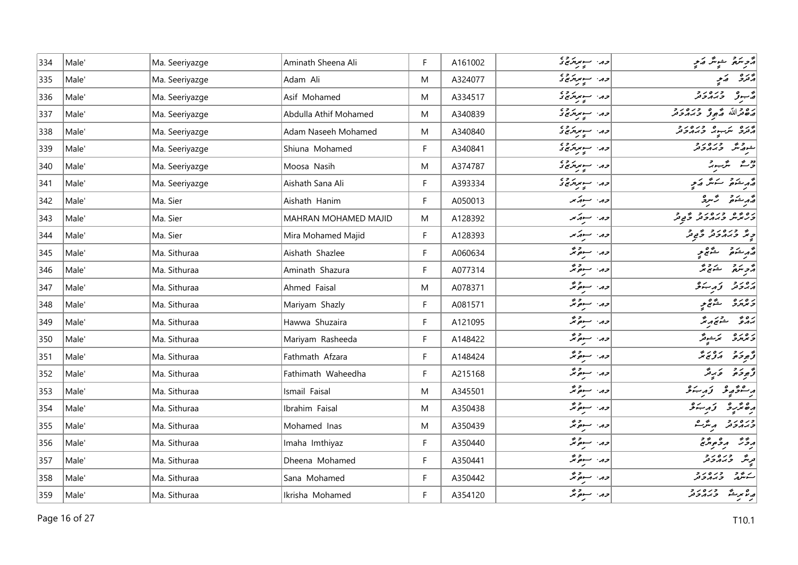| 334 | Male' | Ma. Seeriyazge | Aminath Sheena Ali    | F           | A161002 |                                                                                                                                                                                                                                  |                                                                                     |
|-----|-------|----------------|-----------------------|-------------|---------|----------------------------------------------------------------------------------------------------------------------------------------------------------------------------------------------------------------------------------|-------------------------------------------------------------------------------------|
| 335 | Male' | Ma. Seeriyazge | Adam Ali              | M           | A324077 | وړ. سومونونۍ<br>د                                                                                                                                                                                                                | و دره دره در کار<br>در کار در در کار<br>در در کار در                                |
| 336 | Male' | Ma. Seeriyazge | Asif Mohamed          | M           | A334517 | 12 - היותח מים<br>אבורי היותח מים ב                                                                                                                                                                                              | د در در در در در در در در در در در در است.<br>در سر در در در در در در در در در است. |
| 337 | Male' | Ma. Seeriyazge | Abdulla Athif Mohamed | M           | A340839 | <br>  ۱۸۶۰ سپهرېزي د                                                                                                                                                                                                             | ره والله گروه وره د و<br>مصرالله گروه و سمردند                                      |
| 338 | Male' | Ma. Seeriyazge | Adam Naseeh Mohamed   | M           | A340840 |                                                                                                                                                                                                                                  | وره ترجده وبره دو                                                                   |
| 339 | Male' | Ma. Seeriyazge | Shiuna Mohamed        | F           | A340841 | קניי ההמתמשי<br>קניי ה                                                                                                                                                                                                           | أشوره شرح وبره برو                                                                  |
| 340 | Male' | Ma. Seeriyazge | Moosa Nasih           | M           | A374787 | קורי והתוקדות היום וביום וביום וביום וביום וביום וביום וביום וביום וביום וביום וביום וביום וביום וביום וביום ו<br>או הוביום וביום וביום וביום וביום וביום וביום וביום וביום וביום וביום וביום וביום וביום וביום וביום וביום וביו | روم مگرسور                                                                          |
| 341 | Male' | Ma. Seeriyazge | Aishath Sana Ali      | F           | A393334 | כו. הימיקאצי<br>הי                                                                                                                                                                                                               |                                                                                     |
| 342 | Male' | Ma. Sier       | Aishath Hanim         | F           | A050013 | ورستهتر                                                                                                                                                                                                                          | ە بەللەش كىنى كەنى<br>ئەبەللەش كەنى كەنى<br>ئەبەللەش كەنى كەنى كەن                  |
| 343 | Male' | Ma. Sier       | MAHRAN MOHAMED MAJID  | M           | A128392 | در سهرس                                                                                                                                                                                                                          |                                                                                     |
| 344 | Male' | Ma. Sier       | Mira Mohamed Majid    | F           | A128393 | در ۱۰ سورسر                                                                                                                                                                                                                      | و پر دره د د و د                                                                    |
| 345 | Male' | Ma. Sithuraa   | Aishath Shazlee       | $\mathsf F$ | A060634 | در سوه پژ                                                                                                                                                                                                                        |                                                                                     |
| 346 | Male' | Ma. Sithuraa   | Aminath Shazura       | $\mathsf F$ | A077314 | حەر. سىھەتتە                                                                                                                                                                                                                     |                                                                                     |
| 347 | Male' | Ma. Sithuraa   | Ahmed Faisal          | M           | A078371 | وړ. سوچنگه                                                                                                                                                                                                                       | أرورو ورباو                                                                         |
| 348 | Male' | Ma. Sithuraa   | Mariyam Shazly        | $\mathsf F$ | A081571 | حەر. سىھەتتە                                                                                                                                                                                                                     | د ۱۵ د ۱۵ د مخ                                                                      |
| 349 | Male' | Ma. Sithuraa   | Hawwa Shuzaira        | F           | A121095 | در سوه نگر                                                                                                                                                                                                                       | برە ئەستىم ئىر                                                                      |
| 350 | Male' | Ma. Sithuraa   | Mariyam Rasheeda      | $\mathsf F$ | A148422 | در سوه بگر                                                                                                                                                                                                                       | و دره کردونگر                                                                       |
| 351 | Male' | Ma. Sithuraa   | Fathmath Afzara       | $\mathsf F$ | A148424 | حەر. سىھمگە                                                                                                                                                                                                                      | أزّوجه بروبر                                                                        |
| 352 | Male' | Ma. Sithuraa   | Fathimath Waheedha    | F           | A215168 | در سوه پژ                                                                                                                                                                                                                        | وَّجِوحَةً وَرِيَّزٌ                                                                |
| 353 | Male' | Ma. Sithuraa   | Ismail Faisal         | M           | A345501 | در سوه پژ                                                                                                                                                                                                                        | وسرة ويوجد وكرجاني                                                                  |
| 354 | Male' | Ma. Sithuraa   | Ibrahim Faisal        | M           | A350438 | כו <i>גי הס</i> ביק<br>ק                                                                                                                                                                                                         | رەپرىر زىرىنى                                                                       |
| 355 | Male' | Ma. Sithuraa   | Mohamed Inas          | M           | A350439 | حەر. سىھەتتە                                                                                                                                                                                                                     | ورەرو مەر                                                                           |
| 356 | Male' | Ma. Sithuraa   | Imaha Imthiyaz        | F           | A350440 | دە سوڭمە                                                                                                                                                                                                                         | أردمج المردور ويحمج                                                                 |
| 357 | Male' | Ma. Sithuraa   | Dheena Mohamed        | F           | A350441 | در ۱۰ سوه پژ                                                                                                                                                                                                                     | توسرٌ و بره رو                                                                      |
| 358 | Male' | Ma. Sithuraa   | Sana Mohamed          | F           | A350442 | حەر. سىھمگە                                                                                                                                                                                                                      | سەپىر<br>و ره ر و<br>تر پر ژنر                                                      |
| 359 | Male' | Ma. Sithuraa   | Ikrisha Mohamed       | F           | A354120 | در سره بگر<br>                                                                                                                                                                                                                   | ده مرشه دره در                                                                      |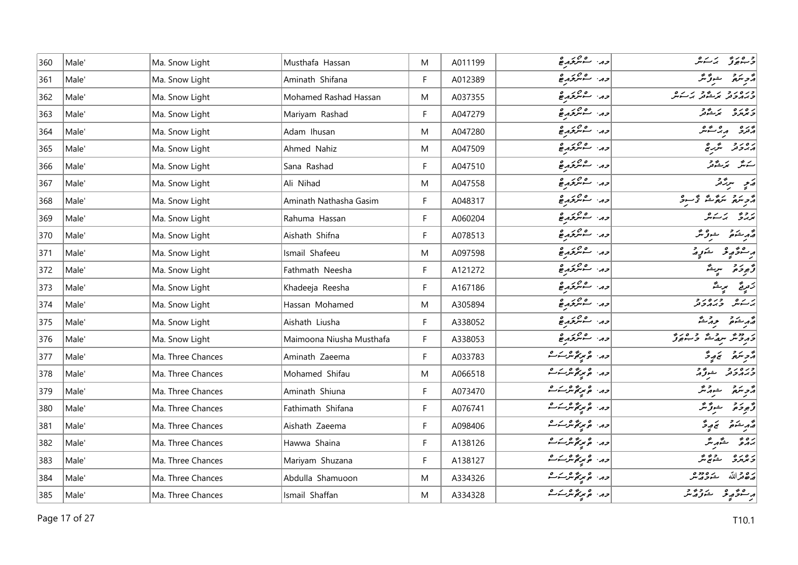| 360 | Male' | Ma. Snow Light    | Musthafa Hassan          | M           | A011199 | ور. سوسروره              | وجووز برسكس                                                                                                               |
|-----|-------|-------------------|--------------------------|-------------|---------|--------------------------|---------------------------------------------------------------------------------------------------------------------------|
| 361 | Male' | Ma. Snow Light    | Aminath Shifana          | $\mathsf F$ | A012389 |                          | ۇ ئەسكە ھەر ئىگە                                                                                                          |
| 362 | Male' | Ma. Snow Light    | Mohamed Rashad Hassan    | M           | A037355 | $rac{1}{2}$              | ورەرو رەۋرىرىش                                                                                                            |
| 363 | Male' | Ma. Snow Light    | Mariyam Rashad           | F           | A047279 | $rac{1}{2}$              | رەرە پەشەر                                                                                                                |
| 364 | Male' | Ma. Snow Light    | Adam Ihusan              | M           | A047280 | $rac{1}{2}$              | مەر شەشر<br>په ره<br>د ترو                                                                                                |
| 365 | Male' | Ma. Snow Light    | Ahmed Nahiz              | M           | A047509 |                          | رەر ئەربى                                                                                                                 |
| 366 | Male' | Ma. Snow Light    | Sana Rashad              | $\mathsf F$ | A047510 |                          | سەنگە ئىمەشقىر                                                                                                            |
| 367 | Male' | Ma. Snow Light    | Ali Nihad                | M           | A047558 | $rac{1}{2}$              | أەسمج سرچمىقى                                                                                                             |
| 368 | Male' | Ma. Snow Light    | Aminath Nathasha Gasim   | $\mathsf F$ | A048317 | $rac{1}{2}$              |                                                                                                                           |
| 369 | Male' | Ma. Snow Light    | Rahuma Hassan            | $\mathsf F$ | A060204 | $rac{1}{2}$              | ىردە بەسكىر                                                                                                               |
| 370 | Male' | Ma. Snow Light    | Aishath Shifna           | F           | A078513 | در. ڪنگرفريع             | ړُ د شَوَهِ شور شَر                                                                                                       |
| 371 | Male' | Ma. Snow Light    | Ismail Shafeeu           | M           | A097598 | در. ڪنگردريج             | بر شر <i>ې ده شوړه</i>                                                                                                    |
| 372 | Male' | Ma. Snow Light    | Fathmath Neesha          | $\mathsf F$ | A121272 | در. ڪنگريزو،             |                                                                                                                           |
| 373 | Male' | Ma. Snow Light    | Khadeeja Reesha          | $\mathsf F$ | A167186 | در. سانگرده              | ر کوری موسیقی<br>توجود کو موسیقی<br>ترمین موسیقی                                                                          |
| 374 | Male' | Ma. Snow Light    | Hassan Mohamed           | M           | A305894 | در. ڪشھره                | يز کشته وره د و                                                                                                           |
| 375 | Male' | Ma. Snow Light    | Aishath Liusha           | $\mathsf F$ | A338052 | $rac{1}{2}$              | و المر شور المرور المراكبة<br>مراكب المراكب المراكب المراكبة<br>مراكب المراكب المراكب المراكبة المراكبة المراكبة المراكبة |
| 376 | Male' | Ma. Snow Light    | Maimoona Niusha Musthafa | F           | A338053 | در. ڪنگر جرم             | ر دور برد ده در در در در در در دارد.<br>د بر د شر شر شر د کرد و در                                                        |
| 377 | Male' | Ma. Three Chances | Aminath Zaeema           | F           | A033783 | <i>دە. ھېرىقىرىكى</i>    | أأدبتكم بماراة                                                                                                            |
| 378 | Male' | Ma. Three Chances | Mohamed Shifau           | M           | A066518 | دە. ئۇ يوپۇسرىكەت        | ورەرو ئىدۇر                                                                                                               |
| 379 | Male' | Ma. Three Chances | Aminath Shiuna           | F           | A073470 | دە. ئۇمرىگەرىكەت         | ۇچەسكە ھەممىگە                                                                                                            |
| 380 | Male' | Ma. Three Chances | Fathimath Shifana        | F           | A076741 | ور. وپرپۇرى ك            | ژ <sub>بوخ</sub> و سرژنڈ                                                                                                  |
| 381 | Male' | Ma. Three Chances | Aishath Zaeema           | $\mathsf F$ | A098406 | <i>دە. مې پۇتۇسى</i> ت   | مەر شىم ئەرگ                                                                                                              |
| 382 | Male' | Ma. Three Chances | Hawwa Shaina             | F           | A138126 | <i>دە. ، ئوپۇسرىكى</i> گ | رە ئەرش                                                                                                                   |
| 383 | Male' | Ma. Three Chances | Mariyam Shuzana          | F           | A138127 | دە. ئۇ بېرىگەنگرىسكەت    | ر ه ر ه<br><del>د</del> بربرگ<br>شەمچ ئىگر                                                                                |
| 384 | Male' | Ma. Three Chances | Abdulla Shamuoon         | M           | A334326 | دە. ئۇ يېڭەنگەرىكەت      | شەھ جەھ بىر<br>بر25 الله                                                                                                  |
| 385 | Male' | Ma. Three Chances | Ismail Shaffan           | M           | A334328 | دە. ئۇ يېرىگەنگەنسەت     | ر موځ په ده د ده د                                                                                                        |
|     |       |                   |                          |             |         |                          |                                                                                                                           |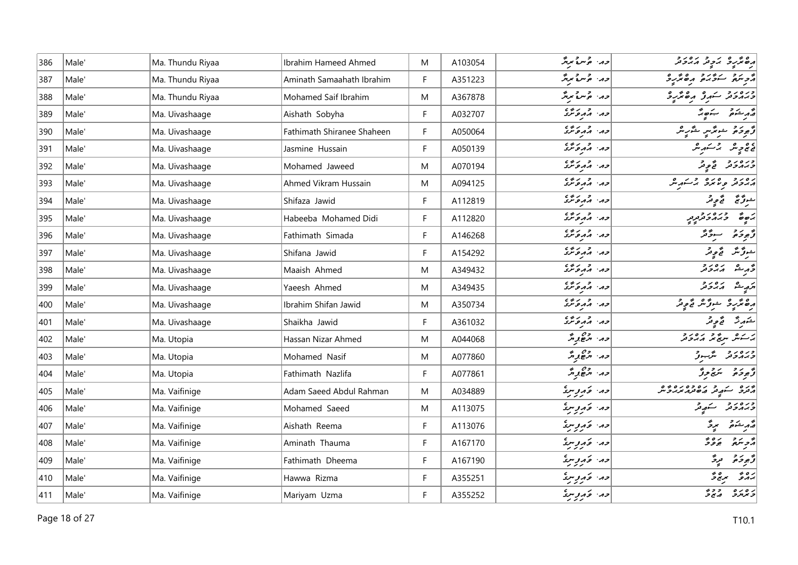| 386 | Male' | Ma. Thundu Riyaa | Ibrahim Hameed Ahmed       | M  | A103054 | در وسومبر                                      | رەپرىدى بەدىر مەددىر                                  |
|-----|-------|------------------|----------------------------|----|---------|------------------------------------------------|-------------------------------------------------------|
| 387 | Male' | Ma. Thundu Riyaa | Aminath Samaahath Ibrahim  | F. | A351223 | حدر وسومبر                                     | أزويتهم سودره المصرير                                 |
| 388 | Male' | Ma. Thundu Riyaa | Mohamed Saif Ibrahim       | M  | A367878 | در و مرد بردگر                                 | ورەرو سەرو مەھرىپ                                     |
| 389 | Male' | Ma. Uivashaage   | Aishath Sobyha             | F  | A032707 | دړ په تروغری                                   | وأرشكم بكور                                           |
| 390 | Male' | Ma. Uivashaage   | Fathimath Shiranee Shaheen | F. | A050064 | כו. ו'תפיעל<br>כו. ו'תפיעל                     | ۇ <sub>ج</sub> وڭ شوندىر مۇرىد                        |
| 391 | Male' | Ma. Uivashaage   | Jasmine Hussain            | F  | A050139 | כו <i>י ההפית</i><br>כו <i>י ההפית</i>         | ەج چە ئەسكەر                                          |
| 392 | Male' | Ma. Uivashaage   | Mohamed Jaweed             | M  | A070194 | בו ה' הפ"ש.<br>כו ה' הפ"ש.                     | ورەرو ئەر                                             |
| 393 | Male' | Ma. Uivashaage   | Ahmed Vikram Hussain       | M  | A094125 | כו <i>י: ה'</i> תפיע.                          | أرورو ولابرو وكرمر                                    |
| 394 | Male' | Ma. Uivashaage   | Shifaza Jawid              | F  | A112819 | כו. ו'וקפית.<br>כו. ו'וקפית.                   | أُسْتِرَقَّ مَحَ مِمَّر                               |
| 395 | Male' | Ma. Uivashaage   | Habeeba Mohamed Didi       | F  | A112820 | כו. ו'וקפיצי                                   | رە ئەرەر ئەر                                          |
| 396 | Male' | Ma. Uivashaage   | Fathimath Simada           | F. | A146268 | כו. ו'וקפיצי                                   | أراموخام المسوقاتر                                    |
| 397 | Male' | Ma. Uivashaage   | Shifana Jawid              | F  | A154292 | כו <i>רי ה'קפית</i><br>כורי ה'קפי <i>ת</i>     | حو <i>ؤنڈ قی ہ</i> و                                  |
| 398 | Male' | Ma. Uivashaage   | Maaish Ahmed               | M  | A349432 | כו <i>י ההפית</i><br>כו <i>י ההפית</i>         | جەمرىشە<br>بر ہ بر د<br>م <i>ر</i> بر <del>د</del> تر |
| 399 | Male' | Ma. Uivashaage   | Yaeesh Ahmed               | M  | A349435 | כו <i>י: ה'הפ</i> ית.<br>כו <i>י: ה'ה</i> פית. | پرتي ه پر چر چر                                       |
| 400 | Male' | Ma. Uivashaage   | Ibrahim Shifan Jawid       | M  | A350734 | כו. ו'וקפיצי                                   | أرەڭرىر ئىسر ئىس قىم يەقر                             |
| 401 | Male' | Ma. Uivashaage   | Shaikha Jawid              | F  | A361032 | בו ההפתב                                       | أَحْتَمَرِ مِنْ الْمَحْمَدِ وَ الْمَرْ                |
| 402 | Male' | Ma. Utopia       | Hassan Nizar Ahmed         | M  | A044068 | בו. יק <u>ש</u> ק יק                           | ير کامل سرچ پر دره د د                                |
| 403 | Male' | Ma. Utopia       | Mohamed Nasif              | M  | A077860 | בו. יק <u>שק</u> ק                             | ورەر دېگرىنى<br>دىرودىن س                             |
| 404 | Male' | Ma. Utopia       | Fathimath Nazlifa          | F. | A077861 | בתי תפתח                                       | ژُهِ دَهُ مَسَیْ مِرْزٌ                               |
| 405 | Male' | Ma. Vaifinige    | Adam Saeed Abdul Rahman    | M  | A034889 | در ئەروپىر                                     | 1970 كرو 10707070 ك                                   |
| 406 | Male' | Ma. Vaifinige    | Mohamed Saeed              | M  | A113075 | دە <sub>ن</sub> ءَە پ <sub>و</sub> سرى         | وره رو در د                                           |
| 407 | Male' | Ma. Vaifinige    | Aishath Reema              | F. | A113076 | حەر، ئۇم بوسىي<br>سىمبرىيە                     | أقمر شوقر المحرقة                                     |
| 408 | Male' | Ma. Vaifinige    | Aminath Thauma             | F  | A167170 | وړ٠ وَړوسځ                                     | أثر سره بره و                                         |
| 409 | Male' | Ma. Vaifinige    | Fathimath Dheema           | F  | A167190 | وړ٠ وَړوسره<br>د                               | ا تو جر جر<br>ا<br>قرِرٌ                              |
| 410 | Male' | Ma. Vaifinige    | Hawwa Rizma                | F. | A355251 | وړ· وُړو سره<br>د                              | رەپچ<br>سرچ څ                                         |
| 411 | Male' | Ma. Vaifinige    | Mariyam Uzma               | F  | A355252 | در وروسه                                       | ג סגם בביב<br><i>בינת</i> כ ביביב                     |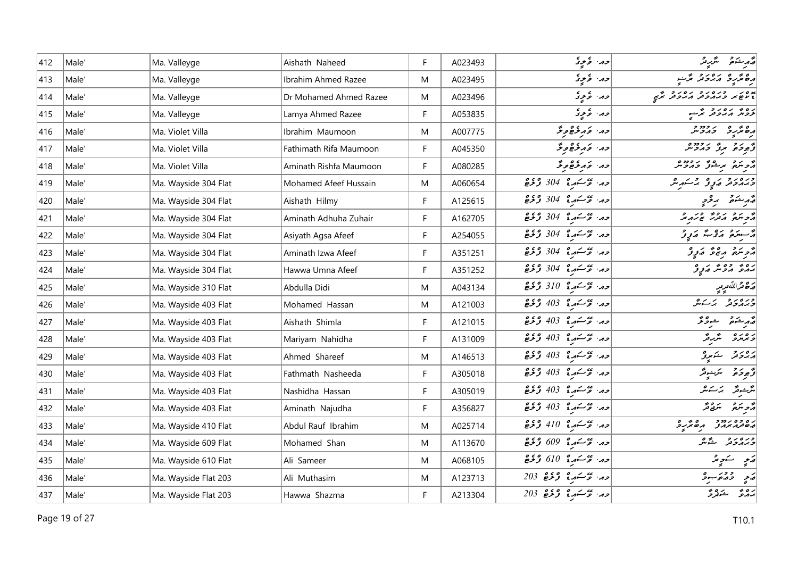| 412 | Male' | Ma. Valleyge         | Aishath Naheed         | F  | A023493 | در و و د د                                                                                                                                                                                                                                                                                                                                                                           | أقدم مشوقو التفرير فكر                                  |
|-----|-------|----------------------|------------------------|----|---------|--------------------------------------------------------------------------------------------------------------------------------------------------------------------------------------------------------------------------------------------------------------------------------------------------------------------------------------------------------------------------------------|---------------------------------------------------------|
| 413 | Male' | Ma. Valleyge         | Ibrahim Ahmed Razee    | M  | A023495 | دە. ئۇيج                                                                                                                                                                                                                                                                                                                                                                             | رەپرىي مەدەر بۇ ب                                       |
| 414 | Male' | Ma. Valleyge         | Dr Mohamed Ahmed Razee | M  | A023496 | دە. ئۇيج                                                                                                                                                                                                                                                                                                                                                                             | بده در در در در در برمج<br>۱۶ مام در بربرد بربردگر برمج |
| 415 | Male' | Ma. Valleyge         | Lamya Ahmed Razee      | F  | A053835 | دە. ئۇچۇ                                                                                                                                                                                                                                                                                                                                                                             | رەپ رەرد پرىي                                           |
| 416 | Male' | Ma. Violet Villa     | Ibrahim Maumoon        | M  | A007775 | در وَرِدْڠْوِدْ                                                                                                                                                                                                                                                                                                                                                                      | دە ئەر ئەددە                                            |
| 417 | Male' | Ma. Violet Villa     | Fathimath Rifa Maumoon | F  | A045350 | در وَرِدْعُودٌ                                                                                                                                                                                                                                                                                                                                                                       | و مرد دروده در در                                       |
| 418 | Male' | Ma. Violet Villa     | Aminath Rishfa Maumoon | F  | A080285 | در وَرِدْءُ وِدْ                                                                                                                                                                                                                                                                                                                                                                     | הכתב תיינ" כגבית                                        |
| 419 | Male' | Ma. Wayside 304 Flat | Mohamed Afeef Hussain  | M  | A060654 | ورب مي ڪري ۽ 304 وڃ ٿو                                                                                                                                                                                                                                                                                                                                                               | وبرەپرى <sub>م</sub> ېرو برگېرىد                        |
| 420 | Male' | Ma. Wayside 304 Flat | Aishath Hilmy          | F  | A125615 | ورب مي ڪري 304 وڃ ھ                                                                                                                                                                                                                                                                                                                                                                  | پښتونه پروې                                             |
| 421 | Male' | Ma. Wayside 304 Flat | Aminath Adhuha Zuhair  | F  | A162705 | ورب مي ڪري 304 وڃ ھ                                                                                                                                                                                                                                                                                                                                                                  | أأروبتهم أروفه وترارقه                                  |
| 422 | Male' | Ma. Wayside 304 Flat | Asiyath Agsa Afeef     | F  | A254055 | ورب عن سكور ع 304 وتخيفج                                                                                                                                                                                                                                                                                                                                                             | أثم سرد رو شه كار د                                     |
| 423 | Male' | Ma. Wayside 304 Flat | Aminath Izwa Afeef     | F  | A351251 | $\begin{bmatrix} 2 & 3 & 3 & 3 & 6 \ 6 & 3 & 3 & 6 \end{bmatrix}$ 304                                                                                                                                                                                                                                                                                                                | أأروسكم وبالمحمر أأويائه                                |
| 424 | Male' | Ma. Wayside 304 Flat | Hawwa Umna Afeef       | F  | A351252 | ورب ع سور ۽ 304 وڃ ھ                                                                                                                                                                                                                                                                                                                                                                 | رەپ دەپر روپ                                            |
| 425 | Male' | Ma. Wayside 310 Flat | Abdulla Didi           | M  | A043134 | $\begin{bmatrix} 0 & 0 & 0 \\ 0 & 0 & 0 \\ 0 & 0 & 0 \end{bmatrix}$                                                                                                                                                                                                                                                                                                                  | پر ۱۵ قمر اللّه مرمر<br> -                              |
| 426 | Male' | Ma. Wayside 403 Flat | Mohamed Hassan         | M  | A121003 | ورسي شهره 403 ومحظ                                                                                                                                                                                                                                                                                                                                                                   | ورەرو پەسەر                                             |
| 427 | Male' | Ma. Wayside 403 Flat | Aishath Shimla         | F  | A121015 | ورسي مسكوره والأولوج                                                                                                                                                                                                                                                                                                                                                                 | أشرائكم والموافق                                        |
| 428 | Male' | Ma. Wayside 403 Flat | Mariyam Nahidha        | F  | A131009 | ومستحسكم في 403 وتحي                                                                                                                                                                                                                                                                                                                                                                 | د ۱۵ د عربی په                                          |
| 429 | Male' | Ma. Wayside 403 Flat | Ahmed Shareef          | M  | A146513 | ورسي مسكوره والأولوج                                                                                                                                                                                                                                                                                                                                                                 | پروتر خوبور                                             |
| 430 | Male' | Ma. Wayside 403 Flat | Fathmath Nasheeda      | F  | A305018 | $ 2.3 \tfrac{2}{3}$ 403 مخرجہ وی                                                                                                                                                                                                                                                                                                                                                     | أقهوخكم التكرشوند                                       |
| 431 | Male' | Ma. Wayside 403 Flat | Nashidha Hassan        | F  | A305019 | ورب بي ڪرم يا 403 وڃ                                                                                                                                                                                                                                                                                                                                                                 | مگرجونگر - کرک مگر                                      |
| 432 | Male' | Ma. Wayside 403 Flat | Aminath Najudha        | F  | A356827 | $\overline{e}$ $\overline{e}$ $\overline{e}$ $\overline{e}$ $\overline{e}$ $\overline{e}$ $\overline{e}$ $\overline{e}$ $\overline{e}$ $\overline{e}$ $\overline{e}$ $\overline{e}$ $\overline{e}$ $\overline{e}$ $\overline{e}$ $\overline{e}$ $\overline{e}$ $\overline{e}$ $\overline{e}$ $\overline{e}$ $\overline{e}$ $\overline{e}$ $\overline{e}$ $\overline{e}$ $\overline{$ | أأترج سترام والمحمد                                     |
| 433 | Male' | Ma. Wayside 410 Flat | Abdul Rauf Ibrahim     | M  | A025714 | وربي شهره 410 وءه                                                                                                                                                                                                                                                                                                                                                                    | ەرھ ئرىر ۋ<br>ر ۵ ۵ ۵ ۵ رود و<br>ډه تر مربر تو          |
| 434 | Male' | Ma. Wayside 609 Flat | Mohamed Shan           | M  | A113670 | ور. پي ڪري 609 وڃ ھ                                                                                                                                                                                                                                                                                                                                                                  | ورەر دەشتەر                                             |
| 435 | Male' | Ma. Wayside 610 Flat | Ali Sameer             | M  | A068105 | ورسي شهره 10 ووقع                                                                                                                                                                                                                                                                                                                                                                    | ړې سوچه                                                 |
| 436 | Male' | Ma. Wayside Flat 203 | Ali Muthasim           | M  | A123713 | $203$ وه شهره وعي                                                                                                                                                                                                                                                                                                                                                                    | أرو وروبه و                                             |
| 437 | Male' | Ma. Wayside Flat 203 | Hawwa Shazma           | F. | A213304 | ومستوسكم والملح والملك والملا                                                                                                                                                                                                                                                                                                                                                        | ره د سره د<br>بربرگ سنونورگ                             |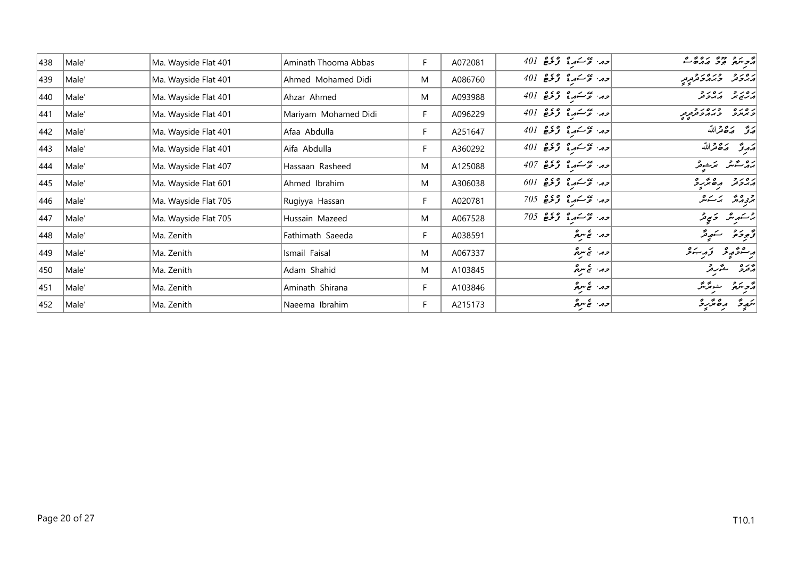| 438 | Male' | Ma. Wayside Flat 401 | Aminath Thooma Abbas | F. | A072081 | $401$ ور $-$ ه وغريق $10$             | ء رو دو ره وي                                          |
|-----|-------|----------------------|----------------------|----|---------|---------------------------------------|--------------------------------------------------------|
| 439 | Male' | Ma. Wayside Flat 401 | Ahmed Mohamed Didi   | M  | A086760 | $401$ פול האי האל האי האי הא          | پر ۹ پر و<br>و بر ه بر و<br>تر بر پر تر تر تر<br>نخسته |
| 440 | Male' | Ma. Wayside Flat 401 | Ahzar Ahmed          | M  | A093988 | $401$ $223$ $322$ $-22$               | پر ص پر                                                |
| 441 | Male' | Ma. Wayside Flat 401 | Mariyam Mohamed Didi | F. | A096229 | $401$ פרי פּ $\rightarrow$ בריי הוא ה | 0 < 0 <<br>وبرتر وترتربر<br>وتمرمرو                    |
| 442 | Male' | Ma. Wayside Flat 401 | Afaa Abdulla         | F  | A251647 | $401$ $223$ $322$ $-22$               | أَصَرَّ صَصْحَدِاللَّهُ                                |
| 443 | Male' | Ma. Wayside Flat 401 | Aifa Abdulla         | F  | A360292 | $401$ ور $-$ ه وغريق $10$             | ەھ قراللە<br>  پر ډېڅ                                  |
| 444 | Male' | Ma. Wayside Flat 407 | Hassaan Rasheed      | M  | A125088 | $407$ $253$ $372$                     | برە ئەمىر<br>- بمرَڪونر                                |
| 445 | Male' | Ma. Wayside Flat 601 | Ahmed Ibrahim        | M  | A306038 | $601$ כוז כל האי נצפים                | برورد<br>フンメめハ                                         |
| 446 | Male' | Ma. Wayside Flat 705 | Rugiyya Hassan       | F  | A020781 | $705$ כמי קציע בארי נציע              | ىر تەرگە<br>ئە ئەشر                                    |
| 447 | Male' | Ma. Wayside Flat 705 | Hussain Mazeed       | M  | A067528 | $705$ כמי קציירות בציפי ב             | يز ڪرينگ ڪي پڙ                                         |
| 448 | Male' | Ma. Zenith           | Fathimath Saeeda     | F. | A038591 | בורי הבייטור                          | ا تو پر چ<br>ستہ مگر                                   |
| 449 | Male' | Ma. Zenith           | Ismail Faisal        | M  | A067337 | בו המיישי                             | ورقق قوم قاريبي                                        |
| 450 | Male' | Ma. Zenith           | Adam Shahid          | M  | A103845 | כורי הבייטור                          | ستەرىر<br>پر بر <i>ہ</i><br>ارکورنر                    |
| 451 | Male' | Ma. Zenith           | Aminath Shirana      | F  | A103846 | כורי הבייטור                          | لمرد سرة<br>ے <i>مرگ</i> مگر                           |
| 452 | Male' | Ma. Zenith           | Naeema Ibrahim       | F  | A215173 | בוגי הבייטור                          | بتهوء وقعتبوه                                          |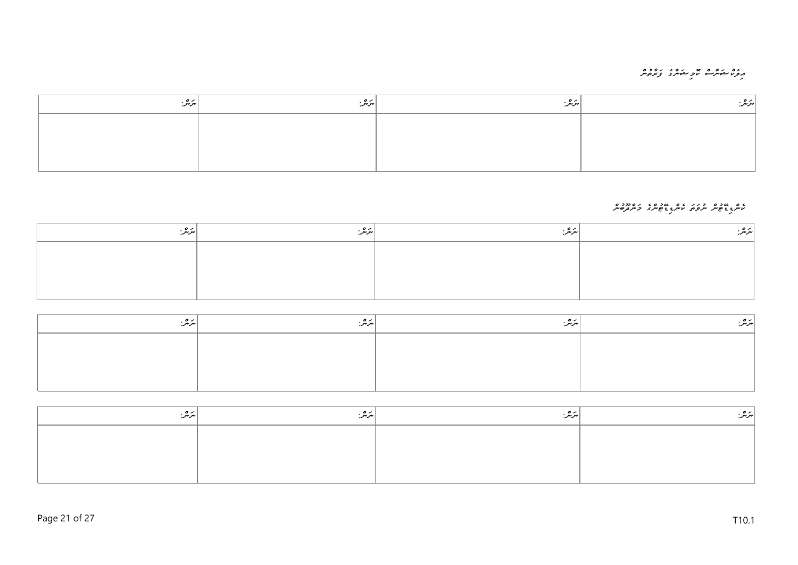## *w7qAn8m? sCw7mRo>u; wEw7mRw;sBo<*

| ' مرمر | 'يئرىثر: |
|--------|----------|
|        |          |
|        |          |
|        |          |

## *w7q9r@w7m> sCw7qHtFoFw7s; mAm=q7 w7qHtFoFw7s;*

| ىر تە | $\mathcal{O} \times$<br>$\sim$ | $\sim$<br>. . | لترنثر |
|-------|--------------------------------|---------------|--------|
|       |                                |               |        |
|       |                                |               |        |
|       |                                |               |        |

| انترنثر: | $^{\circ}$ | يبرهر | $^{\circ}$<br>سرسر |
|----------|------------|-------|--------------------|
|          |            |       |                    |
|          |            |       |                    |
|          |            |       |                    |

| ىرتىر: | 。<br>سر سر | .,<br>مرسر |
|--------|------------|------------|
|        |            |            |
|        |            |            |
|        |            |            |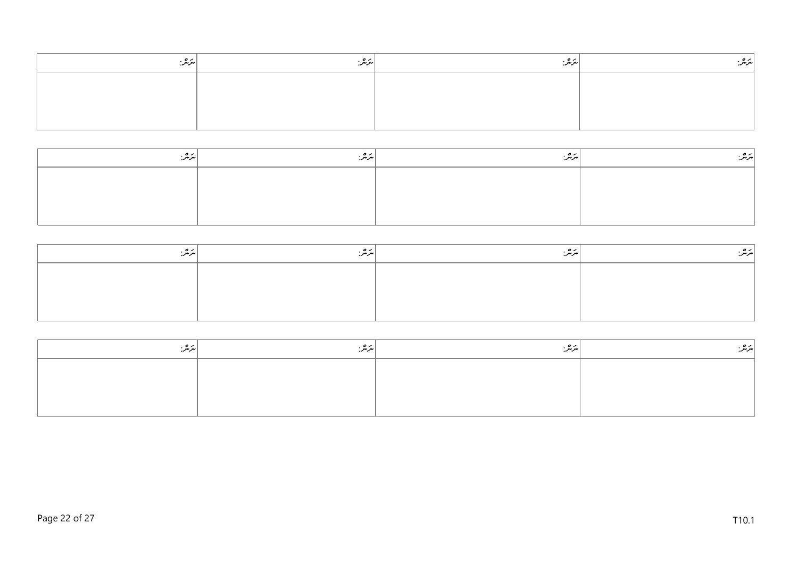| يره. | ο. | ا ير ه |  |
|------|----|--------|--|
|      |    |        |  |
|      |    |        |  |
|      |    |        |  |

| <sup>.</sup> سرسر. |  |
|--------------------|--|
|                    |  |
|                    |  |
|                    |  |

| ىرتىر: | $\sim$ | ا بر هه. | لىرىش |
|--------|--------|----------|-------|
|        |        |          |       |
|        |        |          |       |
|        |        |          |       |

| 。<br>مرس. | $\overline{\phantom{a}}$<br>مر سر | يتريثر |
|-----------|-----------------------------------|--------|
|           |                                   |        |
|           |                                   |        |
|           |                                   |        |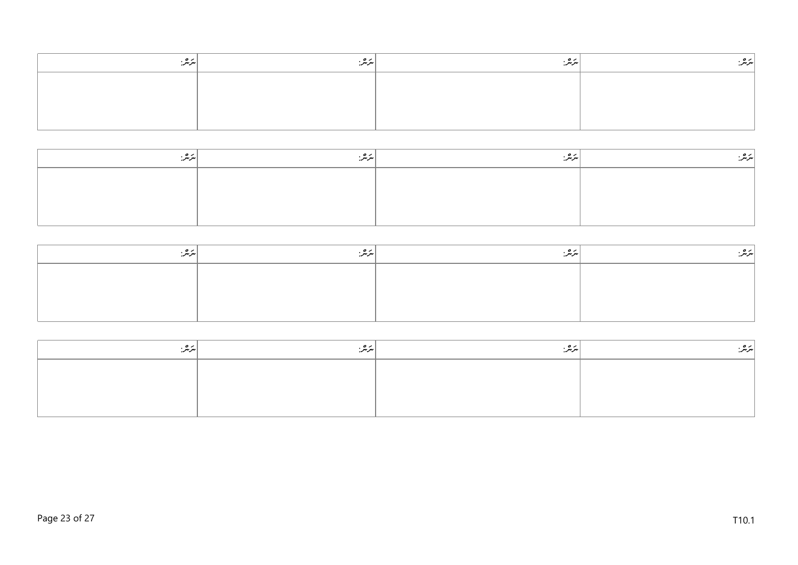| ير هو . | $\overline{\phantom{a}}$ | يرمر | اير هنه. |
|---------|--------------------------|------|----------|
|         |                          |      |          |
|         |                          |      |          |
|         |                          |      |          |

| ىر ھ | $\circ$ $\sim$<br>ا سرسر. | $\circ$ $\sim$<br>' سرسر . | o <i>~</i><br>سرسر. |
|------|---------------------------|----------------------------|---------------------|
|      |                           |                            |                     |
|      |                           |                            |                     |
|      |                           |                            |                     |

| نتزيتر به | 。 | 。<br>سرسر. | o <i>~</i> |
|-----------|---|------------|------------|
|           |   |            |            |
|           |   |            |            |
|           |   |            |            |

|  | . ه |
|--|-----|
|  |     |
|  |     |
|  |     |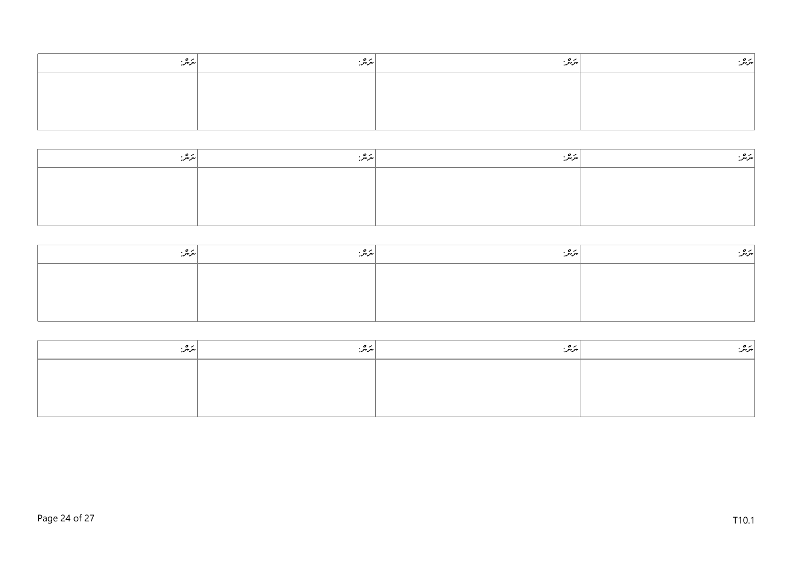| ير هو . | $\overline{\phantom{a}}$ | يرمر | اير هنه. |
|---------|--------------------------|------|----------|
|         |                          |      |          |
|         |                          |      |          |
|         |                          |      |          |

| ىر تىر: | $\circ$ $\sim$<br>" سرسر . | يبرحه | o . |
|---------|----------------------------|-------|-----|
|         |                            |       |     |
|         |                            |       |     |
|         |                            |       |     |

| لترتكر: | الترنثر: | ابر همه: | الترنثر: |
|---------|----------|----------|----------|
|         |          |          |          |
|         |          |          |          |
|         |          |          |          |

|  | . ه |
|--|-----|
|  |     |
|  |     |
|  |     |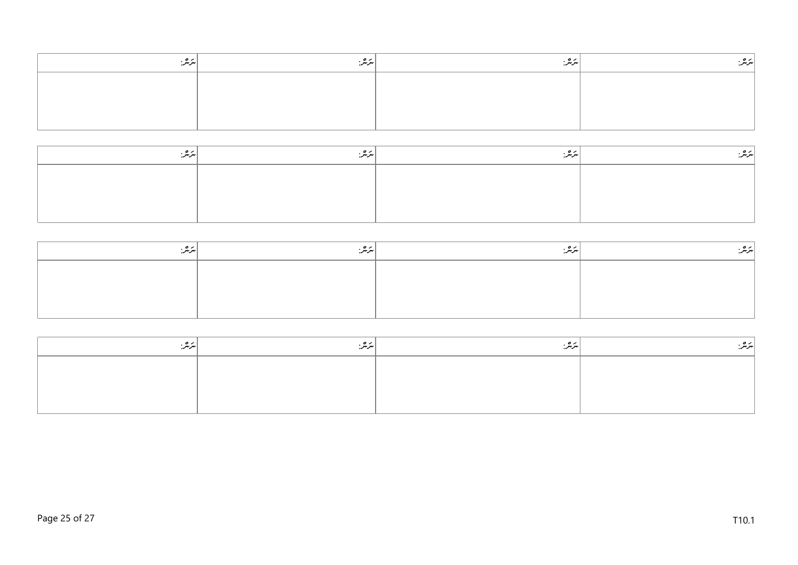| $\cdot$ | ο. | $\frac{\circ}{\cdot}$ | $\sim$<br>سرسر |
|---------|----|-----------------------|----------------|
|         |    |                       |                |
|         |    |                       |                |
|         |    |                       |                |

| ايرعر: | ر ه<br>. . |  |
|--------|------------|--|
|        |            |  |
|        |            |  |
|        |            |  |

| بر ه | 。 | $\sim$<br>َ سومس |  |
|------|---|------------------|--|
|      |   |                  |  |
|      |   |                  |  |
|      |   |                  |  |

| 。<br>. س | ىرىىر |  |
|----------|-------|--|
|          |       |  |
|          |       |  |
|          |       |  |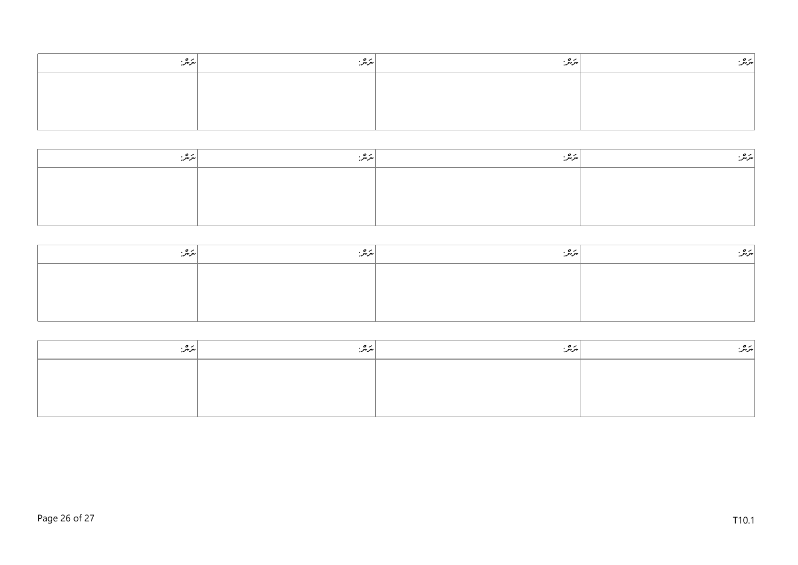| ير هو . | $\overline{\phantom{a}}$ | يرمر | لتزمثن |
|---------|--------------------------|------|--------|
|         |                          |      |        |
|         |                          |      |        |
|         |                          |      |        |

| ئىرتىر: | $\sim$<br>ا سرسر . | يئرمثر | o . |
|---------|--------------------|--------|-----|
|         |                    |        |     |
|         |                    |        |     |
|         |                    |        |     |

| الترنثر: | ' مرتكز: | الترنثر: | .,<br>سرسر. |
|----------|----------|----------|-------------|
|          |          |          |             |
|          |          |          |             |
|          |          |          |             |

|  | . ه |
|--|-----|
|  |     |
|  |     |
|  |     |